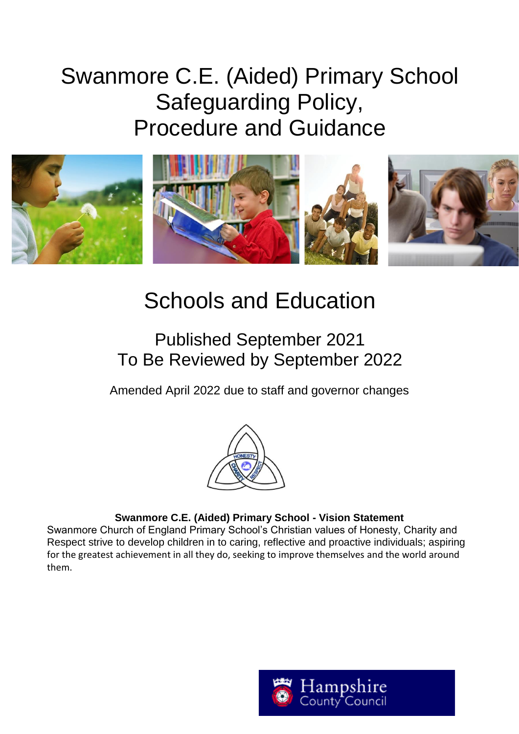# Swanmore C.E. (Aided) Primary School Safeguarding Policy, Procedure and Guidance



# Schools and Education

# Published September 2021 To Be Reviewed by September 2022

Amended April 2022 due to staff and governor changes



### **Swanmore C.E. (Aided) Primary School - Vision Statement**

Swanmore Church of England Primary School's Christian values of Honesty, Charity and Respect strive to develop children in to caring, reflective and proactive individuals; aspiring for the greatest achievement in all they do, seeking to improve themselves and the world around them.

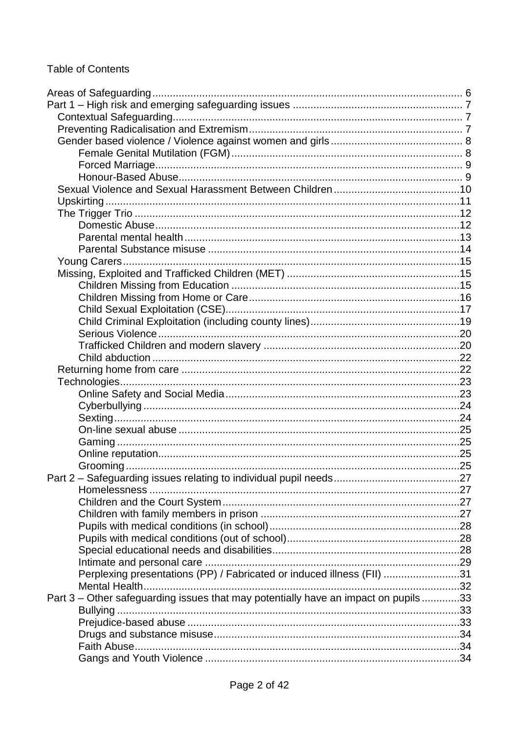# Table of Contents

| Perplexing presentations (PP) / Fabricated or induced illness (FII) 31             |  |
|------------------------------------------------------------------------------------|--|
|                                                                                    |  |
| Part 3 – Other safeguarding issues that may potentially have an impact on pupils33 |  |
|                                                                                    |  |
|                                                                                    |  |
|                                                                                    |  |
|                                                                                    |  |
|                                                                                    |  |
|                                                                                    |  |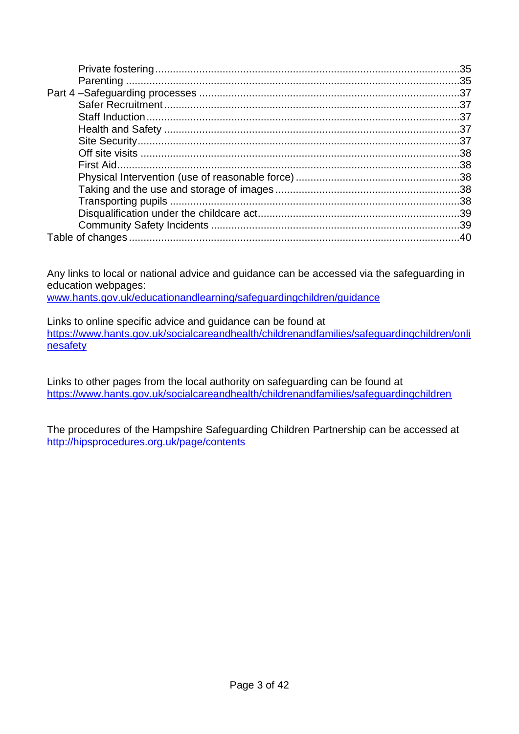Any links to local or national advice and guidance can be accessed via the safeguarding in education webpages:

[www.hants.gov.uk/educationandlearning/safeguardingchildren/guidance](http://www.hants.gov.uk/educationandlearning/safeguardingchildren/guidance)

Links to online specific advice and guidance can be found at [https://www.hants.gov.uk/socialcareandhealth/childrenandfamilies/safeguardingchildren/onli](https://www.hants.gov.uk/socialcareandhealth/childrenandfamilies/safeguardingchildren/onlinesafety) [nesafety](https://www.hants.gov.uk/socialcareandhealth/childrenandfamilies/safeguardingchildren/onlinesafety)

Links to other pages from the local authority on safeguarding can be found at <https://www.hants.gov.uk/socialcareandhealth/childrenandfamilies/safeguardingchildren>

The procedures of the Hampshire Safeguarding Children Partnership can be accessed at <http://hipsprocedures.org.uk/page/contents>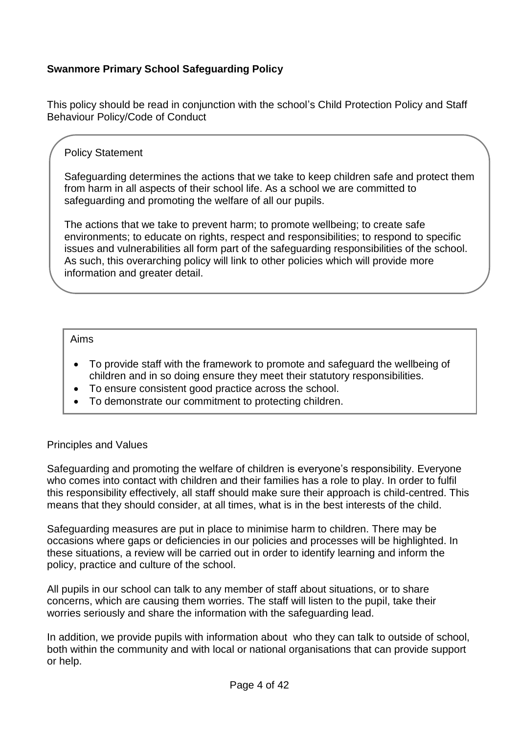### **Swanmore Primary School Safeguarding Policy**

This policy should be read in conjunction with the school's Child Protection Policy and Staff Behaviour Policy/Code of Conduct

### Policy Statement

Safeguarding determines the actions that we take to keep children safe and protect them from harm in all aspects of their school life. As a school we are committed to safeguarding and promoting the welfare of all our pupils.

The actions that we take to prevent harm; to promote wellbeing; to create safe environments; to educate on rights, respect and responsibilities; to respond to specific issues and vulnerabilities all form part of the safeguarding responsibilities of the school. As such, this overarching policy will link to other policies which will provide more information and greater detail.

#### Aims

- To provide staff with the framework to promote and safeguard the wellbeing of children and in so doing ensure they meet their statutory responsibilities.
- To ensure consistent good practice across the school.
- To demonstrate our commitment to protecting children.

#### Principles and Values

Safeguarding and promoting the welfare of children is everyone's responsibility. Everyone who comes into contact with children and their families has a role to play. In order to fulfil this responsibility effectively, all staff should make sure their approach is child-centred. This means that they should consider, at all times, what is in the best interests of the child.

Safeguarding measures are put in place to minimise harm to children. There may be occasions where gaps or deficiencies in our policies and processes will be highlighted. In these situations, a review will be carried out in order to identify learning and inform the policy, practice and culture of the school.

All pupils in our school can talk to any member of staff about situations, or to share concerns, which are causing them worries. The staff will listen to the pupil, take their worries seriously and share the information with the safeguarding lead.

In addition, we provide pupils with information about who they can talk to outside of school, both within the community and with local or national organisations that can provide support or help.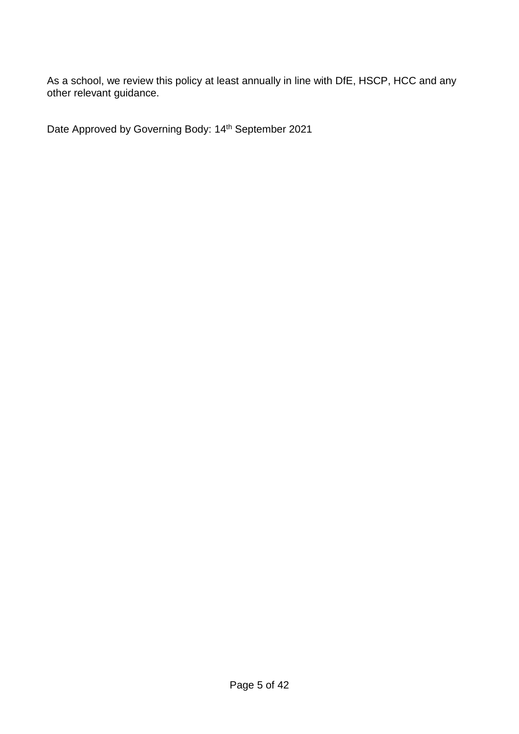As a school, we review this policy at least annually in line with DfE, HSCP, HCC and any other relevant guidance.

Date Approved by Governing Body: 14<sup>th</sup> September 2021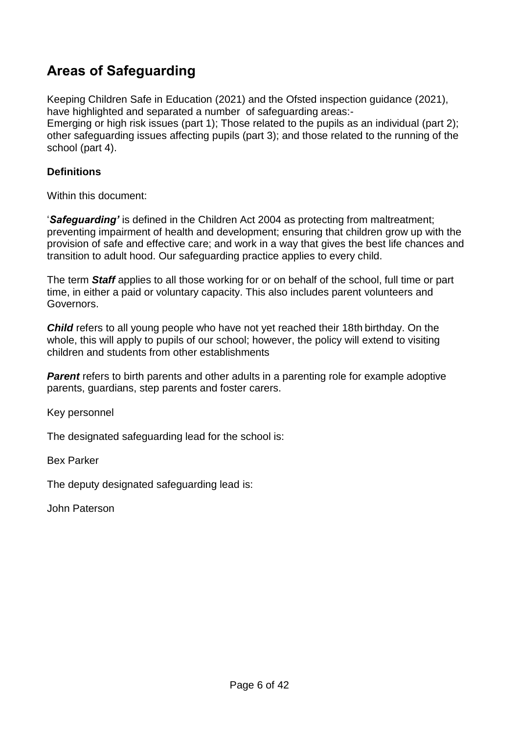# <span id="page-5-0"></span>**Areas of Safeguarding**

Keeping Children Safe in Education (2021) and the Ofsted inspection guidance (2021), have highlighted and separated a number of safeguarding areas:-

Emerging or high risk issues (part 1); Those related to the pupils as an individual (part 2); other safeguarding issues affecting pupils (part 3); and those related to the running of the school (part 4).

### **Definitions**

Within this document:

'*Safeguarding'* is defined in the Children Act 2004 as protecting from maltreatment; preventing impairment of health and development; ensuring that children grow up with the provision of safe and effective care; and work in a way that gives the best life chances and transition to adult hood. Our safeguarding practice applies to every child.

The term *Staff* applies to all those working for or on behalf of the school, full time or part time, in either a paid or voluntary capacity. This also includes parent volunteers and Governors.

*Child* refers to all young people who have not yet reached their 18th birthday. On the whole, this will apply to pupils of our school; however, the policy will extend to visiting children and students from other establishments

**Parent** refers to birth parents and other adults in a parenting role for example adoptive parents, guardians, step parents and foster carers.

Key personnel

The designated safeguarding lead for the school is:

Bex Parker

The deputy designated safeguarding lead is:

John Paterson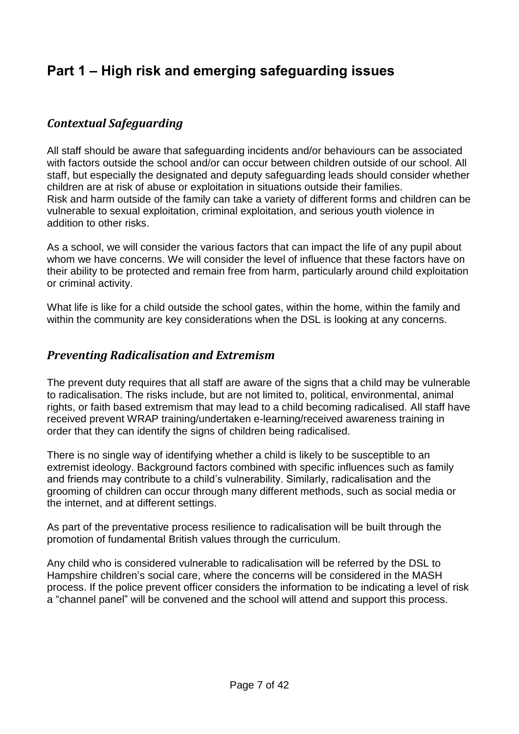# <span id="page-6-0"></span>**Part 1 – High risk and emerging safeguarding issues**

# <span id="page-6-1"></span>*Contextual Safeguarding*

All staff should be aware that safeguarding incidents and/or behaviours can be associated with factors outside the school and/or can occur between children outside of our school. All staff, but especially the designated and deputy safeguarding leads should consider whether children are at risk of abuse or exploitation in situations outside their families. Risk and harm outside of the family can take a variety of different forms and children can be vulnerable to sexual exploitation, criminal exploitation, and serious youth violence in addition to other risks.

As a school, we will consider the various factors that can impact the life of any pupil about whom we have concerns. We will consider the level of influence that these factors have on their ability to be protected and remain free from harm, particularly around child exploitation or criminal activity.

What life is like for a child outside the school gates, within the home, within the family and within the community are key considerations when the DSL is looking at any concerns.

# <span id="page-6-2"></span>*Preventing Radicalisation and Extremism*

The prevent duty requires that all staff are aware of the signs that a child may be vulnerable to radicalisation. The risks include, but are not limited to, political, environmental, animal rights, or faith based extremism that may lead to a child becoming radicalised. All staff have received prevent WRAP training/undertaken e-learning/received awareness training in order that they can identify the signs of children being radicalised.

There is no single way of identifying whether a child is likely to be susceptible to an extremist ideology. Background factors combined with specific influences such as family and friends may contribute to a child's vulnerability. Similarly, radicalisation and the grooming of children can occur through many different methods, such as social media or the internet, and at different settings.

As part of the preventative process resilience to radicalisation will be built through the promotion of fundamental British values through the curriculum.

Any child who is considered vulnerable to radicalisation will be referred by the DSL to Hampshire children's social care, where the concerns will be considered in the MASH process. If the police prevent officer considers the information to be indicating a level of risk a "channel panel" will be convened and the school will attend and support this process.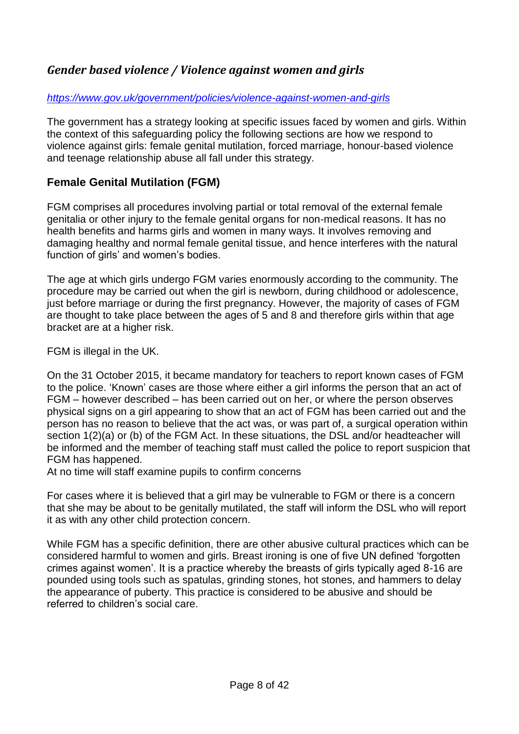# <span id="page-7-0"></span>*Gender based violence / Violence against women and girls*

### *<https://www.gov.uk/government/policies/violence-against-women-and-girls>*

The government has a strategy looking at specific issues faced by women and girls. Within the context of this safeguarding policy the following sections are how we respond to violence against girls: female genital mutilation, forced marriage, honour-based violence and teenage relationship abuse all fall under this strategy.

# <span id="page-7-1"></span>**Female Genital Mutilation (FGM)**

FGM comprises all procedures involving partial or total removal of the external female genitalia or other injury to the female genital organs for non-medical reasons. It has no health benefits and harms girls and women in many ways. It involves removing and damaging healthy and normal female genital tissue, and hence interferes with the natural function of girls' and women's bodies.

The age at which girls undergo FGM varies enormously according to the community. The procedure may be carried out when the girl is newborn, during childhood or adolescence, just before marriage or during the first pregnancy. However, the majority of cases of FGM are thought to take place between the ages of 5 and 8 and therefore girls within that age bracket are at a higher risk.

FGM is illegal in the UK.

On the 31 October 2015, it became mandatory for teachers to report known cases of FGM to the police. 'Known' cases are those where either a girl informs the person that an act of FGM – however described – has been carried out on her, or where the person observes physical signs on a girl appearing to show that an act of FGM has been carried out and the person has no reason to believe that the act was, or was part of, a surgical operation within section 1(2)(a) or (b) of the FGM Act. In these situations, the DSL and/or headteacher will be informed and the member of teaching staff must called the police to report suspicion that FGM has happened.

At no time will staff examine pupils to confirm concerns

For cases where it is believed that a girl may be vulnerable to FGM or there is a concern that she may be about to be genitally mutilated, the staff will inform the DSL who will report it as with any other child protection concern.

While FGM has a specific definition, there are other abusive cultural practices which can be considered harmful to women and girls. Breast ironing is one of five UN defined 'forgotten crimes against women'. It is a practice whereby the breasts of girls typically aged 8-16 are pounded using tools such as spatulas, grinding stones, hot stones, and hammers to delay the appearance of puberty. This practice is considered to be abusive and should be referred to children's social care.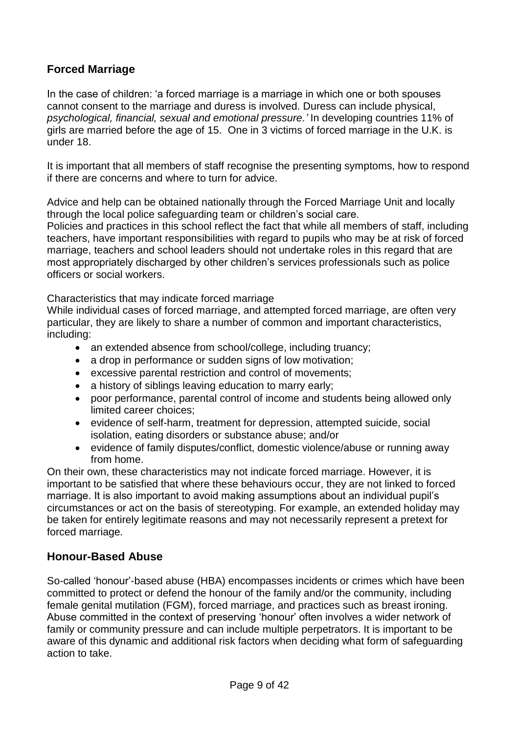# <span id="page-8-0"></span>**Forced Marriage**

In the case of children: 'a forced marriage is a marriage in which one or both spouses cannot consent to the marriage and duress is involved. Duress can include physical, *psychological, financial, sexual and emotional pressure.'* In developing countries 11% of girls are married before the age of 15. One in 3 victims of forced marriage in the U.K. is under 18.

It is important that all members of staff recognise the presenting symptoms, how to respond if there are concerns and where to turn for advice.

Advice and help can be obtained nationally through the Forced Marriage Unit and locally through the local police safeguarding team or children's social care.

Policies and practices in this school reflect the fact that while all members of staff, including teachers, have important responsibilities with regard to pupils who may be at risk of forced marriage, teachers and school leaders should not undertake roles in this regard that are most appropriately discharged by other children's services professionals such as police officers or social workers.

Characteristics that may indicate forced marriage

While individual cases of forced marriage, and attempted forced marriage, are often very particular, they are likely to share a number of common and important characteristics, including:

- an extended absence from school/college, including truancy;
- a drop in performance or sudden signs of low motivation;
- excessive parental restriction and control of movements;
- a history of siblings leaving education to marry early;
- poor performance, parental control of income and students being allowed only limited career choices;
- evidence of self-harm, treatment for depression, attempted suicide, social isolation, eating disorders or substance abuse; and/or
- evidence of family disputes/conflict, domestic violence/abuse or running away from home.

On their own, these characteristics may not indicate forced marriage. However, it is important to be satisfied that where these behaviours occur, they are not linked to forced marriage. It is also important to avoid making assumptions about an individual pupil's circumstances or act on the basis of stereotyping. For example, an extended holiday may be taken for entirely legitimate reasons and may not necessarily represent a pretext for forced marriage*.* 

### <span id="page-8-1"></span>**Honour-Based Abuse**

So-called 'honour'-based abuse (HBA) encompasses incidents or crimes which have been committed to protect or defend the honour of the family and/or the community, including female genital mutilation (FGM), forced marriage, and practices such as breast ironing. Abuse committed in the context of preserving 'honour' often involves a wider network of family or community pressure and can include multiple perpetrators. It is important to be aware of this dynamic and additional risk factors when deciding what form of safeguarding action to take.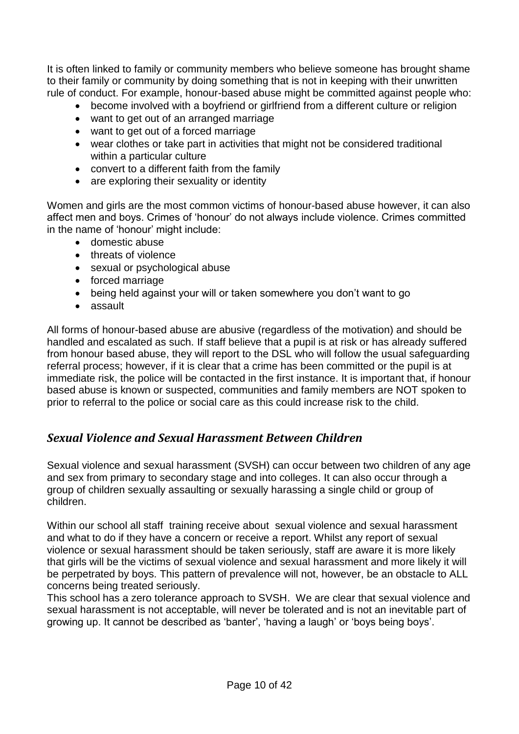It is often linked to family or community members who believe someone has brought shame to their family or community by doing something that is not in keeping with their unwritten rule of conduct. For example, honour-based abuse might be committed against people who:

- become involved with a boyfriend or girlfriend from a different culture or religion
- want to get out of an arranged marriage
- want to get out of a forced marriage
- wear clothes or take part in activities that might not be considered traditional within a particular culture
- convert to a different faith from the family
- are exploring their sexuality or identity

Women and girls are the most common victims of honour-based abuse however, it can also affect men and boys. Crimes of 'honour' do not always include violence. Crimes committed in the name of 'honour' might include:

- domestic abuse
- threats of violence
- sexual or psychological abuse
- forced marriage
- being held against your will or taken somewhere you don't want to go
- assault

All forms of honour-based abuse are abusive (regardless of the motivation) and should be handled and escalated as such. If staff believe that a pupil is at risk or has already suffered from honour based abuse, they will report to the DSL who will follow the usual safeguarding referral process; however, if it is clear that a crime has been committed or the pupil is at immediate risk, the police will be contacted in the first instance. It is important that, if honour based abuse is known or suspected, communities and family members are NOT spoken to prior to referral to the police or social care as this could increase risk to the child.

# <span id="page-9-0"></span>*Sexual Violence and Sexual Harassment Between Children*

Sexual violence and sexual harassment (SVSH) can occur between two children of any age and sex from primary to secondary stage and into colleges. It can also occur through a group of children sexually assaulting or sexually harassing a single child or group of children.

Within our school all staff training receive about sexual violence and sexual harassment and what to do if they have a concern or receive a report. Whilst any report of sexual violence or sexual harassment should be taken seriously, staff are aware it is more likely that girls will be the victims of sexual violence and sexual harassment and more likely it will be perpetrated by boys. This pattern of prevalence will not, however, be an obstacle to ALL concerns being treated seriously.

This school has a zero tolerance approach to SVSH. We are clear that sexual violence and sexual harassment is not acceptable, will never be tolerated and is not an inevitable part of growing up. It cannot be described as 'banter', 'having a laugh' or 'boys being boys'.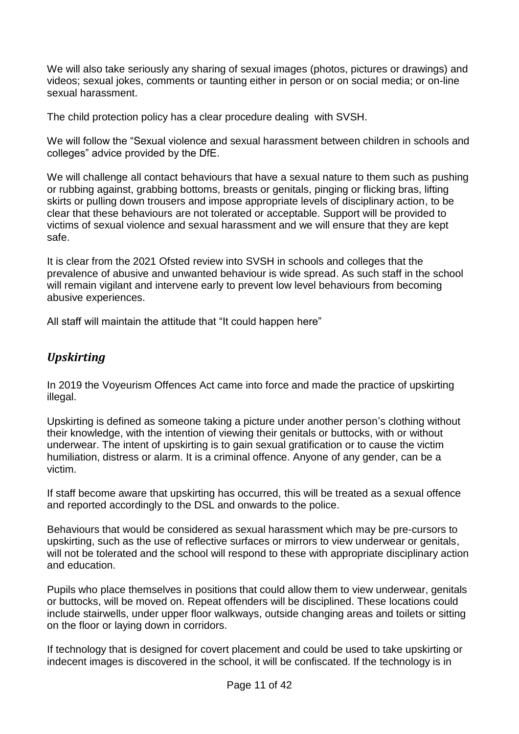We will also take seriously any sharing of sexual images (photos, pictures or drawings) and videos; sexual jokes, comments or taunting either in person or on social media; or on-line sexual harassment.

The child protection policy has a clear procedure dealing with SVSH.

We will follow the "Sexual violence and sexual harassment between children in schools and colleges" advice provided by the DfE.

We will challenge all contact behaviours that have a sexual nature to them such as pushing or rubbing against, grabbing bottoms, breasts or genitals, pinging or flicking bras, lifting skirts or pulling down trousers and impose appropriate levels of disciplinary action, to be clear that these behaviours are not tolerated or acceptable. Support will be provided to victims of sexual violence and sexual harassment and we will ensure that they are kept safe.

It is clear from the 2021 Ofsted review into SVSH in schools and colleges that the prevalence of abusive and unwanted behaviour is wide spread. As such staff in the school will remain vigilant and intervene early to prevent low level behaviours from becoming abusive experiences.

All staff will maintain the attitude that "It could happen here"

# <span id="page-10-0"></span>*Upskirting*

In 2019 the Voyeurism Offences Act came into force and made the practice of upskirting illegal.

Upskirting is defined as someone taking a picture under another person's clothing without their knowledge, with the intention of viewing their genitals or buttocks, with or without underwear. The intent of upskirting is to gain sexual gratification or to cause the victim humiliation, distress or alarm. It is a criminal offence. Anyone of any gender, can be a victim.

If staff become aware that upskirting has occurred, this will be treated as a sexual offence and reported accordingly to the DSL and onwards to the police.

Behaviours that would be considered as sexual harassment which may be pre-cursors to upskirting, such as the use of reflective surfaces or mirrors to view underwear or genitals, will not be tolerated and the school will respond to these with appropriate disciplinary action and education.

Pupils who place themselves in positions that could allow them to view underwear, genitals or buttocks, will be moved on. Repeat offenders will be disciplined. These locations could include stairwells, under upper floor walkways, outside changing areas and toilets or sitting on the floor or laying down in corridors.

If technology that is designed for covert placement and could be used to take upskirting or indecent images is discovered in the school, it will be confiscated. If the technology is in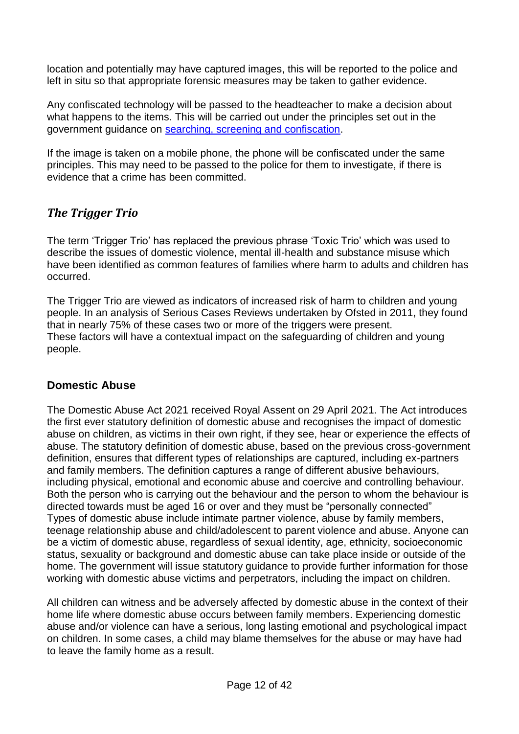location and potentially may have captured images, this will be reported to the police and left in situ so that appropriate forensic measures may be taken to gather evidence.

Any confiscated technology will be passed to the headteacher to make a decision about what happens to the items. This will be carried out under the principles set out in the government guidance on [searching, screening and confiscation.](https://assets.publishing.service.gov.uk/government/uploads/system/uploads/attachment_data/file/674416/Searching_screening_and_confiscation.pdf)

If the image is taken on a mobile phone, the phone will be confiscated under the same principles. This may need to be passed to the police for them to investigate, if there is evidence that a crime has been committed.

# <span id="page-11-0"></span>*The Trigger Trio*

The term 'Trigger Trio' has replaced the previous phrase 'Toxic Trio' which was used to describe the issues of domestic violence, mental ill-health and substance misuse which have been identified as common features of families where harm to adults and children has occurred.

The Trigger Trio are viewed as indicators of increased risk of harm to children and young people. In an analysis of Serious Cases Reviews undertaken by Ofsted in 2011, they found that in nearly 75% of these cases two or more of the triggers were present. These factors will have a contextual impact on the safeguarding of children and young people.

### <span id="page-11-1"></span>**Domestic Abuse**

The Domestic Abuse Act 2021 received Royal Assent on 29 April 2021. The Act introduces the first ever statutory definition of domestic abuse and recognises the impact of domestic abuse on children, as victims in their own right, if they see, hear or experience the effects of abuse. The statutory definition of domestic abuse, based on the previous cross-government definition, ensures that different types of relationships are captured, including ex-partners and family members. The definition captures a range of different abusive behaviours, including physical, emotional and economic abuse and coercive and controlling behaviour. Both the person who is carrying out the behaviour and the person to whom the behaviour is directed towards must be aged 16 or over and they must be "personally connected" Types of domestic abuse include intimate partner violence, abuse by family members, teenage relationship abuse and child/adolescent to parent violence and abuse. Anyone can be a victim of domestic abuse, regardless of sexual identity, age, ethnicity, socioeconomic status, sexuality or background and domestic abuse can take place inside or outside of the home. The government will issue statutory guidance to provide further information for those working with domestic abuse victims and perpetrators, including the impact on children.

All children can witness and be adversely affected by domestic abuse in the context of their home life where domestic abuse occurs between family members. Experiencing domestic abuse and/or violence can have a serious, long lasting emotional and psychological impact on children. In some cases, a child may blame themselves for the abuse or may have had to leave the family home as a result.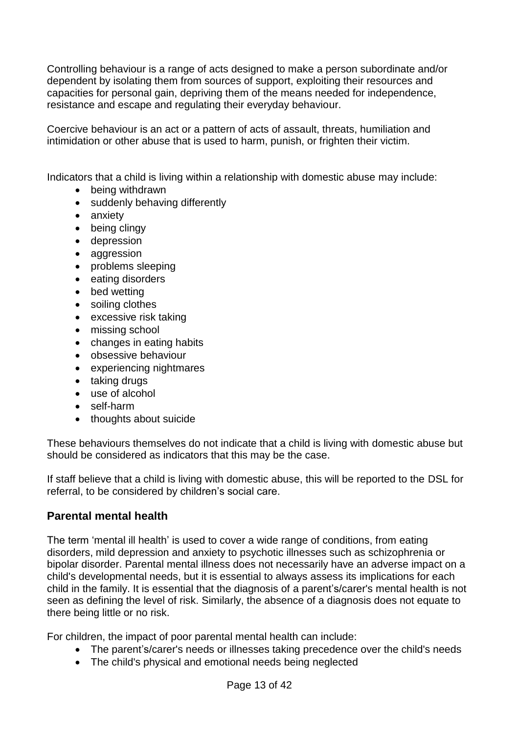Controlling behaviour is a range of acts designed to make a person subordinate and/or dependent by isolating them from sources of support, exploiting their resources and capacities for personal gain, depriving them of the means needed for independence, resistance and escape and regulating their everyday behaviour.

Coercive behaviour is an act or a pattern of acts of assault, threats, humiliation and intimidation or other abuse that is used to harm, punish, or frighten their victim.

Indicators that a child is living within a relationship with domestic abuse may include:

- being withdrawn
- suddenly behaving differently
- anxiety
- being clingy
- depression
- aggression
- problems sleeping
- eating disorders
- bed wetting
- soiling clothes
- excessive risk taking
- missing school
- changes in eating habits
- obsessive behaviour
- experiencing nightmares
- taking drugs
- use of alcohol
- self-harm
- thoughts about suicide

These behaviours themselves do not indicate that a child is living with domestic abuse but should be considered as indicators that this may be the case.

If staff believe that a child is living with domestic abuse, this will be reported to the DSL for referral, to be considered by children's social care.

### <span id="page-12-0"></span>**Parental mental health**

The term 'mental ill health' is used to cover a wide range of conditions, from eating disorders, mild depression and anxiety to psychotic illnesses such as schizophrenia or bipolar disorder. Parental mental illness does not necessarily have an adverse impact on a child's developmental needs, but it is essential to always assess its implications for each child in the family. It is essential that the diagnosis of a parent's/carer's mental health is not seen as defining the level of risk. Similarly, the absence of a diagnosis does not equate to there being little or no risk.

For children, the impact of poor parental mental health can include:

- The parent's/carer's needs or illnesses taking precedence over the child's needs
- The child's physical and emotional needs being neglected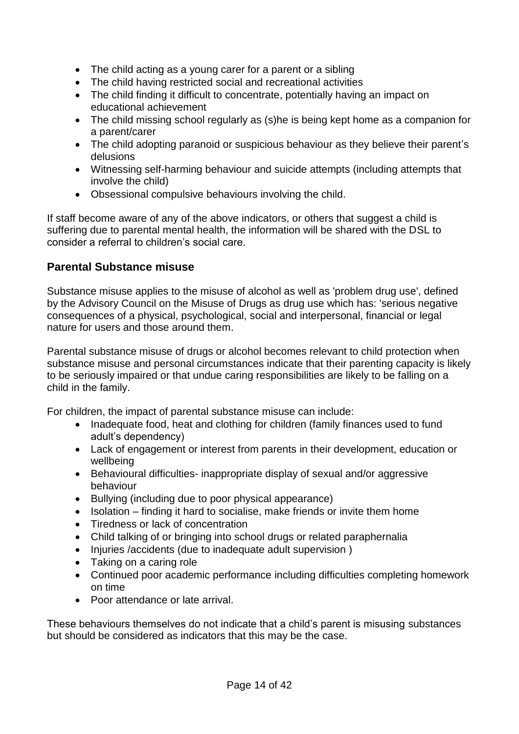- The child acting as a young carer for a parent or a sibling
- The child having restricted social and recreational activities
- The child finding it difficult to concentrate, potentially having an impact on educational achievement
- The child missing school regularly as (s)he is being kept home as a companion for a parent/carer
- The child adopting paranoid or suspicious behaviour as they believe their parent's delusions
- Witnessing self-harming behaviour and suicide attempts (including attempts that involve the child)
- Obsessional compulsive behaviours involving the child.

If staff become aware of any of the above indicators, or others that suggest a child is suffering due to parental mental health, the information will be shared with the DSL to consider a referral to children's social care.

### <span id="page-13-0"></span>**Parental Substance misuse**

Substance misuse applies to the misuse of alcohol as well as 'problem drug use', defined by the Advisory Council on the Misuse of Drugs as drug use which has: 'serious negative consequences of a physical, psychological, social and interpersonal, financial or legal nature for users and those around them.

Parental substance misuse of drugs or alcohol becomes relevant to child protection when substance misuse and personal circumstances indicate that their parenting capacity is likely to be seriously impaired or that undue caring responsibilities are likely to be falling on a child in the family.

For children, the impact of parental substance misuse can include:

- Inadequate food, heat and clothing for children (family finances used to fund adult's dependency)
- Lack of engagement or interest from parents in their development, education or wellbeing
- Behavioural difficulties- inappropriate display of sexual and/or aggressive behaviour
- Bullying (including due to poor physical appearance)
- Isolation finding it hard to socialise, make friends or invite them home
- Tiredness or lack of concentration
- Child talking of or bringing into school drugs or related paraphernalia
- Injuries /accidents (due to inadequate adult supervision)
- Taking on a caring role
- Continued poor academic performance including difficulties completing homework on time
- Poor attendance or late arrival.

These behaviours themselves do not indicate that a child's parent is misusing substances but should be considered as indicators that this may be the case.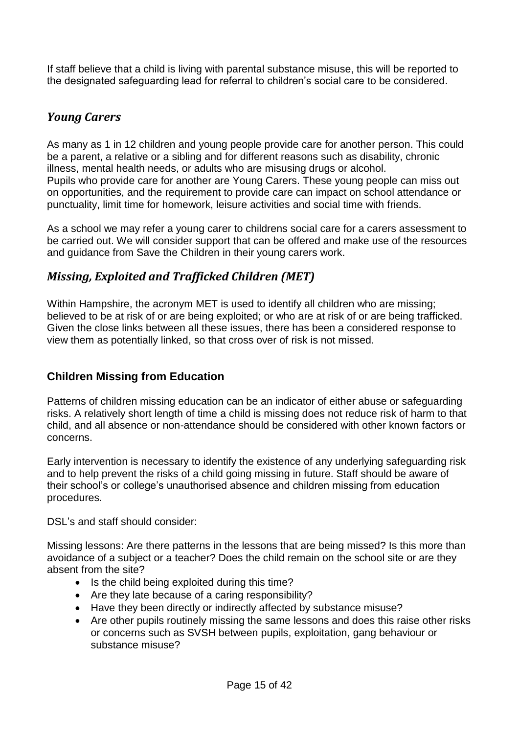If staff believe that a child is living with parental substance misuse, this will be reported to the designated safeguarding lead for referral to children's social care to be considered.

# <span id="page-14-0"></span>*Young Carers*

As many as 1 in 12 children and young people provide care for another person. This could be a parent, a relative or a sibling and for different reasons such as disability, chronic illness, mental health needs, or adults who are misusing drugs or alcohol. Pupils who provide care for another are Young Carers. These young people can miss out on opportunities, and the requirement to provide care can impact on school attendance or punctuality, limit time for homework, leisure activities and social time with friends.

As a school we may refer a young carer to childrens social care for a carers assessment to be carried out. We will consider support that can be offered and make use of the resources and guidance from Save the Children in their young carers work.

# <span id="page-14-1"></span>*Missing, Exploited and Trafficked Children (MET)*

Within Hampshire, the acronym MET is used to identify all children who are missing; believed to be at risk of or are being exploited; or who are at risk of or are being trafficked. Given the close links between all these issues, there has been a considered response to view them as potentially linked, so that cross over of risk is not missed.

### <span id="page-14-2"></span>**Children Missing from Education**

Patterns of children missing education can be an indicator of either abuse or safeguarding risks. A relatively short length of time a child is missing does not reduce risk of harm to that child, and all absence or non-attendance should be considered with other known factors or concerns.

Early intervention is necessary to identify the existence of any underlying safeguarding risk and to help prevent the risks of a child going missing in future. Staff should be aware of their school's or college's unauthorised absence and children missing from education procedures.

DSL's and staff should consider:

Missing lessons: Are there patterns in the lessons that are being missed? Is this more than avoidance of a subject or a teacher? Does the child remain on the school site or are they absent from the site?

- Is the child being exploited during this time?
- Are they late because of a caring responsibility?
- Have they been directly or indirectly affected by substance misuse?
- Are other pupils routinely missing the same lessons and does this raise other risks or concerns such as SVSH between pupils, exploitation, gang behaviour or substance misuse?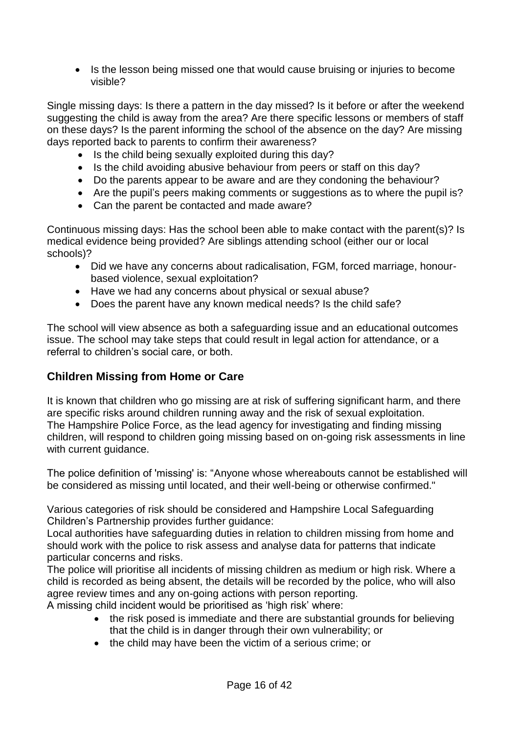• Is the lesson being missed one that would cause bruising or injuries to become visible?

Single missing days: Is there a pattern in the day missed? Is it before or after the weekend suggesting the child is away from the area? Are there specific lessons or members of staff on these days? Is the parent informing the school of the absence on the day? Are missing days reported back to parents to confirm their awareness?

- Is the child being sexually exploited during this day?
- Is the child avoiding abusive behaviour from peers or staff on this day?
- Do the parents appear to be aware and are they condoning the behaviour?
- Are the pupil's peers making comments or suggestions as to where the pupil is?
- Can the parent be contacted and made aware?

Continuous missing days: Has the school been able to make contact with the parent(s)? Is medical evidence being provided? Are siblings attending school (either our or local schools)?

- Did we have any concerns about radicalisation, FGM, forced marriage, honourbased violence, sexual exploitation?
- Have we had any concerns about physical or sexual abuse?
- Does the parent have any known medical needs? Is the child safe?

The school will view absence as both a safeguarding issue and an educational outcomes issue. The school may take steps that could result in legal action for attendance, or a referral to children's social care, or both.

### <span id="page-15-0"></span>**Children Missing from Home or Care**

It is known that children who go missing are at risk of suffering significant harm, and there are specific risks around children running away and the risk of sexual exploitation. The Hampshire Police Force, as the lead agency for investigating and finding missing children, will respond to children going missing based on on-going risk assessments in line with current guidance.

The police definition of 'missing' is: "Anyone whose whereabouts cannot be established will be considered as missing until located, and their well-being or otherwise confirmed."

Various categories of risk should be considered and Hampshire Local Safeguarding Children's Partnership provides further guidance:

Local authorities have safeguarding duties in relation to children missing from home and should work with the police to risk assess and analyse data for patterns that indicate particular concerns and risks.

The police will prioritise all incidents of missing children as medium or high risk. Where a child is recorded as being absent, the details will be recorded by the police, who will also agree review times and any on-going actions with person reporting.

A missing child incident would be prioritised as 'high risk' where:

- the risk posed is immediate and there are substantial grounds for believing that the child is in danger through their own vulnerability; or
- the child may have been the victim of a serious crime; or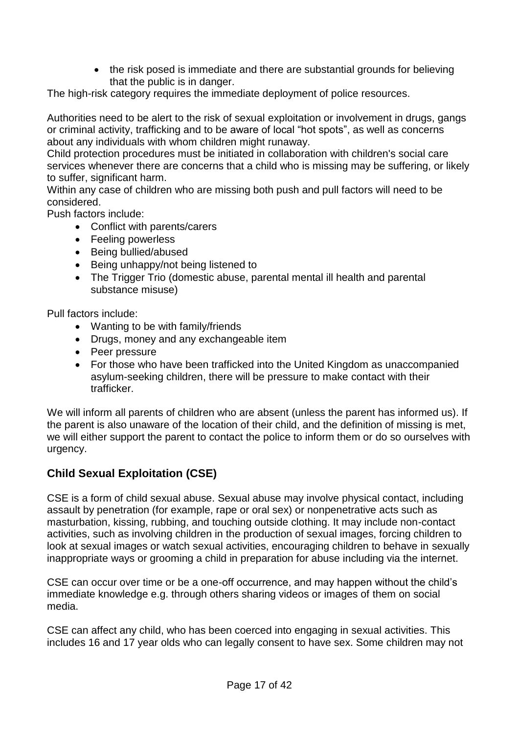• the risk posed is immediate and there are substantial grounds for believing that the public is in danger.

The high-risk category requires the immediate deployment of police resources.

Authorities need to be alert to the risk of sexual exploitation or involvement in drugs, gangs or criminal activity, trafficking and to be aware of local "hot spots", as well as concerns about any individuals with whom children might runaway.

Child protection procedures must be initiated in collaboration with children's social care services whenever there are concerns that a child who is missing may be suffering, or likely to suffer, significant harm.

Within any case of children who are missing both push and pull factors will need to be considered.

Push factors include:

- Conflict with parents/carers
- Feeling powerless
- Being bullied/abused
- Being unhappy/not being listened to
- The Trigger Trio (domestic abuse, parental mental ill health and parental substance misuse)

Pull factors include:

- Wanting to be with family/friends
- Drugs, money and any exchangeable item
- Peer pressure
- For those who have been trafficked into the United Kingdom as unaccompanied asylum-seeking children, there will be pressure to make contact with their trafficker.

We will inform all parents of children who are absent (unless the parent has informed us). If the parent is also unaware of the location of their child, and the definition of missing is met, we will either support the parent to contact the police to inform them or do so ourselves with urgency.

# <span id="page-16-0"></span>**Child Sexual Exploitation (CSE)**

CSE is a form of child sexual abuse. Sexual abuse may involve physical contact, including assault by penetration (for example, rape or oral sex) or nonpenetrative acts such as masturbation, kissing, rubbing, and touching outside clothing. It may include non-contact activities, such as involving children in the production of sexual images, forcing children to look at sexual images or watch sexual activities, encouraging children to behave in sexually inappropriate ways or grooming a child in preparation for abuse including via the internet.

CSE can occur over time or be a one-off occurrence, and may happen without the child's immediate knowledge e.g. through others sharing videos or images of them on social media.

CSE can affect any child, who has been coerced into engaging in sexual activities. This includes 16 and 17 year olds who can legally consent to have sex. Some children may not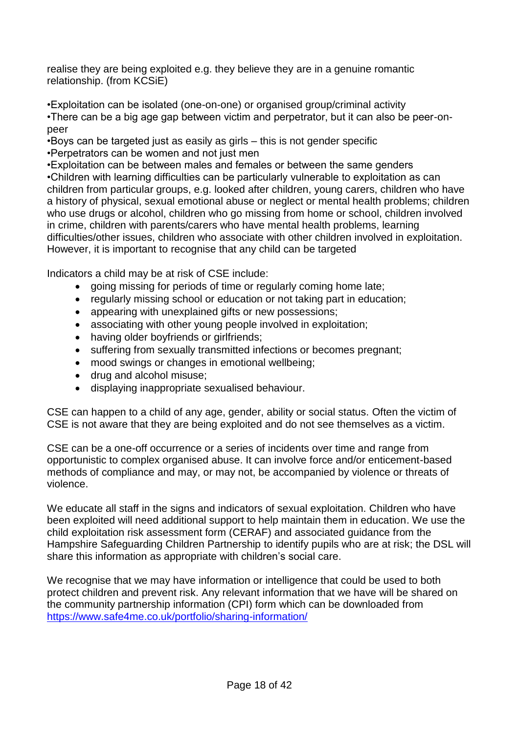realise they are being exploited e.g. they believe they are in a genuine romantic relationship. (from KCSiE)

•Exploitation can be isolated (one-on-one) or organised group/criminal activity •There can be a big age gap between victim and perpetrator, but it can also be peer-onpeer

•Boys can be targeted just as easily as girls – this is not gender specific •Perpetrators can be women and not just men

•Exploitation can be between males and females or between the same genders •Children with learning difficulties can be particularly vulnerable to exploitation as can children from particular groups, e.g. looked after children, young carers, children who have a history of physical, sexual emotional abuse or neglect or mental health problems; children who use drugs or alcohol, children who go missing from home or school, children involved in crime, children with parents/carers who have mental health problems, learning difficulties/other issues, children who associate with other children involved in exploitation. However, it is important to recognise that any child can be targeted

Indicators a child may be at risk of CSE include:

- going missing for periods of time or regularly coming home late;
- regularly missing school or education or not taking part in education;
- appearing with unexplained gifts or new possessions;
- associating with other young people involved in exploitation;
- having older boyfriends or girlfriends;
- suffering from sexually transmitted infections or becomes pregnant;
- mood swings or changes in emotional wellbeing;
- drug and alcohol misuse;
- displaying inappropriate sexualised behaviour.

CSE can happen to a child of any age, gender, ability or social status. Often the victim of CSE is not aware that they are being exploited and do not see themselves as a victim.

CSE can be a one-off occurrence or a series of incidents over time and range from opportunistic to complex organised abuse. It can involve force and/or enticement-based methods of compliance and may, or may not, be accompanied by violence or threats of violence.

We educate all staff in the signs and indicators of sexual exploitation. Children who have been exploited will need additional support to help maintain them in education. We use the child exploitation risk assessment form [\(CERAF\)](http://www.hampshiresafeguardingchildrenboard.org.uk/user_controlled_lcms_area/uploaded_files/SERAF%20Risk%20Assessment%20Form%20UPDATED%20Sept%202015%20%282%29.doc) and [associated guidance](http://www.hampshiresafeguardingchildrenboard.org.uk/user_controlled_lcms_area/uploaded_files/SERAF%20Risk%20Assessment%20-%20Scoring%20Guidance_%28HF000005713337%29.doc) from the Hampshire Safeguarding Children Partnership to identify pupils who are at risk; the DSL will share this information as appropriate with children's social care.

<span id="page-17-0"></span>We recognise that we may have information or intelligence that could be used to both protect children and prevent risk. Any relevant information that we have will be shared on the community partnership information (CPI) form which can be downloaded from <https://www.safe4me.co.uk/portfolio/sharing-information/>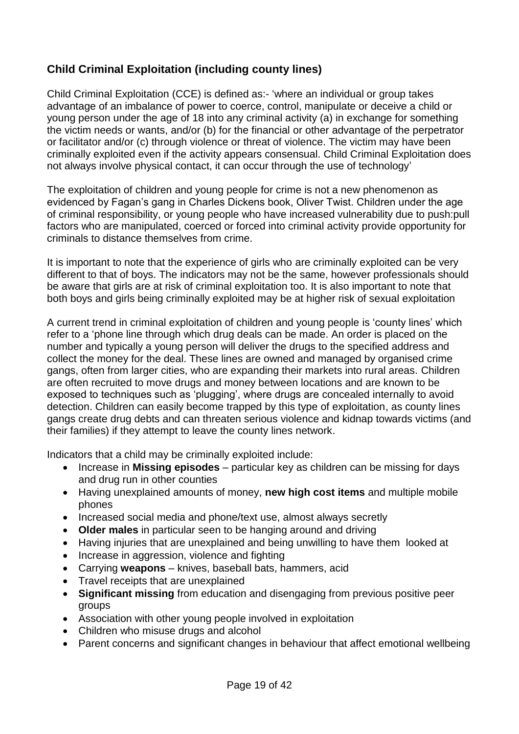# **Child Criminal Exploitation (including county lines)**

Child Criminal Exploitation (CCE) is defined as:- 'where an individual or group takes advantage of an imbalance of power to coerce, control, manipulate or deceive a child or young person under the age of 18 into any criminal activity (a) in exchange for something the victim needs or wants, and/or (b) for the financial or other advantage of the perpetrator or facilitator and/or (c) through violence or threat of violence. The victim may have been criminally exploited even if the activity appears consensual. Child Criminal Exploitation does not always involve physical contact, it can occur through the use of technology'

The exploitation of children and young people for crime is not a new phenomenon as evidenced by Fagan's gang in Charles Dickens book, Oliver Twist. Children under the age of criminal responsibility, or young people who have increased vulnerability due to push:pull factors who are manipulated, coerced or forced into criminal activity provide opportunity for criminals to distance themselves from crime.

It is important to note that the experience of girls who are criminally exploited can be very different to that of boys. The indicators may not be the same, however professionals should be aware that girls are at risk of criminal exploitation too. It is also important to note that both boys and girls being criminally exploited may be at higher risk of sexual exploitation

A current trend in criminal exploitation of children and young people is 'county lines' which refer to a 'phone line through which drug deals can be made. An order is placed on the number and typically a young person will deliver the drugs to the specified address and collect the money for the deal. These lines are owned and managed by organised crime gangs, often from larger cities, who are expanding their markets into rural areas. Children are often recruited to move drugs and money between locations and are known to be exposed to techniques such as 'plugging', where drugs are concealed internally to avoid detection. Children can easily become trapped by this type of exploitation, as county lines gangs create drug debts and can threaten serious violence and kidnap towards victims (and their families) if they attempt to leave the county lines network.

Indicators that a child may be criminally exploited include:

- Increase in **Missing episodes**  particular key as children can be missing for days and drug run in other counties
- Having unexplained amounts of money, **new high cost items** and multiple mobile phones
- Increased social media and phone/text use, almost always secretly
- **Older males** in particular seen to be hanging around and driving
- Having injuries that are unexplained and being unwilling to have them looked at
- Increase in aggression, violence and fighting
- Carrying **weapons** knives, baseball bats, hammers, acid
- Travel receipts that are unexplained
- **Significant missing** from education and disengaging from previous positive peer groups
- Association with other young people involved in exploitation
- Children who misuse drugs and alcohol
- Parent concerns and significant changes in behaviour that affect emotional wellbeing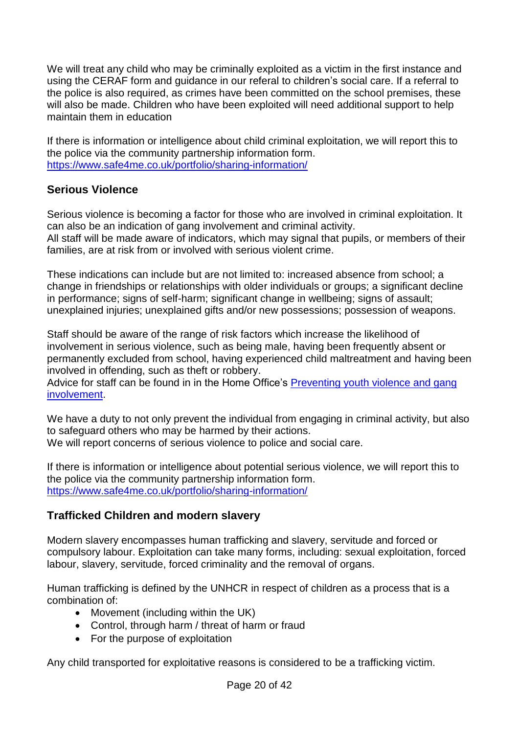We will treat any child who may be criminally exploited as a victim in the first instance and using the CERAF form and guidance in our referal to children's social care. If a referral to the police is also required, as crimes have been committed on the school premises, these will also be made. Children who have been exploited will need additional support to help maintain them in education

If there is information or intelligence about child criminal exploitation, we will report this to the police via the community partnership information form. <https://www.safe4me.co.uk/portfolio/sharing-information/>

### <span id="page-19-0"></span>**Serious Violence**

Serious violence is becoming a factor for those who are involved in criminal exploitation. It can also be an indication of gang involvement and criminal activity. All staff will be made aware of indicators, which may signal that pupils, or members of their families, are at risk from or involved with serious violent crime.

These indications can include but are not limited to: increased absence from school; a change in friendships or relationships with older individuals or groups; a significant decline in performance; signs of self-harm; significant change in wellbeing; signs of assault; unexplained injuries; unexplained gifts and/or new possessions; possession of weapons.

Staff should be aware of the range of risk factors which increase the likelihood of involvement in serious violence, such as being male, having been frequently absent or permanently excluded from school, having experienced child maltreatment and having been involved in offending, such as theft or robbery.

Advice for staff can be found in in the Home Office's Preventing youth violence and gang [involvement.](https://www.gov.uk/government/publications/advice-to-schools-and-colleges-on-gangs-and-youth-violence)

We have a duty to not only prevent the individual from engaging in criminal activity, but also to safeguard others who may be harmed by their actions. We will report concerns of serious violence to police and social care.

If there is information or intelligence about potential serious violence, we will report this to the police via the community partnership information form. <https://www.safe4me.co.uk/portfolio/sharing-information/>

# <span id="page-19-1"></span>**Trafficked Children and modern slavery**

Modern slavery encompasses human trafficking and slavery, servitude and forced or compulsory labour. Exploitation can take many forms, including: sexual exploitation, forced labour, slavery, servitude, forced criminality and the removal of organs.

Human trafficking is defined by the UNHCR in respect of children as a process that is a combination of:

- Movement (including within the UK)
- Control, through harm / threat of harm or fraud
- For the purpose of exploitation

Any child transported for exploitative reasons is considered to be a trafficking victim.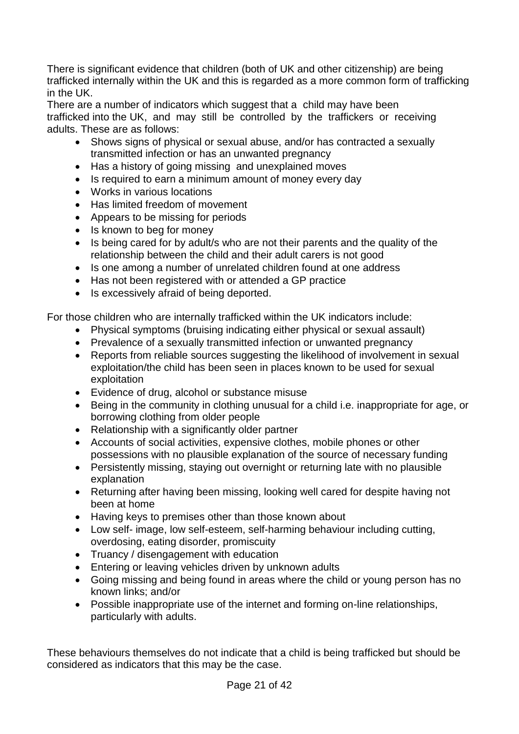There is significant evidence that children (both of UK and other citizenship) are being trafficked internally within the UK and this is regarded as a more common form of trafficking in the UK.

There are a number of indicators which suggest that a child may have been trafficked into the UK, and may still be controlled by the traffickers or receiving adults. These are as follows:

- Shows signs of physical or sexual abuse, and/or has contracted a sexually transmitted infection or has an unwanted pregnancy
- Has a history of going missing and unexplained moves
- Is required to earn a minimum amount of money every day
- Works in various locations
- Has limited freedom of movement
- Appears to be missing for periods
- Is known to beg for money
- Is being cared for by adult/s who are not their parents and the quality of the relationship between the child and their adult carers is not good
- Is one among a number of unrelated children found at one address
- Has not been registered with or attended a GP practice
- Is excessively afraid of being deported.

For those children who are internally trafficked within the UK indicators include:

- Physical symptoms (bruising indicating either physical or sexual assault)
- Prevalence of a sexually transmitted infection or unwanted pregnancy
- Reports from reliable sources suggesting the likelihood of involvement in sexual exploitation/the child has been seen in places known to be used for sexual exploitation
- Evidence of drug, alcohol or substance misuse
- Being in the community in clothing unusual for a child i.e. inappropriate for age, or borrowing clothing from older people
- Relationship with a significantly older partner
- Accounts of social activities, expensive clothes, mobile phones or other possessions with no plausible explanation of the source of necessary funding
- Persistently missing, staying out overnight or returning late with no plausible explanation
- Returning after having been missing, looking well cared for despite having not been at home
- Having keys to premises other than those known about
- Low self- image, low self-esteem, self-harming behaviour including cutting, overdosing, eating disorder, promiscuity
- Truancy / disengagement with education
- Entering or leaving vehicles driven by unknown adults
- Going missing and being found in areas where the child or young person has no known links; and/or
- Possible inappropriate use of the internet and forming on-line relationships, particularly with adults.

These behaviours themselves do not indicate that a child is being trafficked but should be considered as indicators that this may be the case.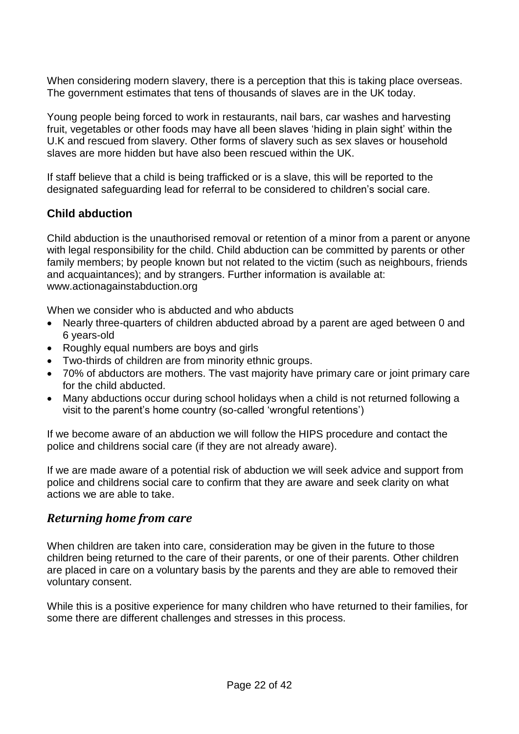When considering modern slavery, there is a perception that this is taking place overseas. The government estimates that tens of thousands of slaves are in the UK today.

Young people being forced to work in restaurants, nail bars, car washes and harvesting fruit, vegetables or other foods may have all been slaves 'hiding in plain sight' within the U.K and rescued from slavery. Other forms of slavery such as sex slaves or household slaves are more hidden but have also been rescued within the UK.

If staff believe that a child is being trafficked or is a slave, this will be reported to the designated safeguarding lead for referral to be considered to children's social care.

# <span id="page-21-0"></span>**Child abduction**

Child abduction is the unauthorised removal or retention of a minor from a parent or anyone with legal responsibility for the child. Child abduction can be committed by parents or other family members; by people known but not related to the victim (such as neighbours, friends and acquaintances); and by strangers. Further information is available at: www.actionagainstabduction.org

When we consider who is abducted and who abducts

- Nearly three-quarters of children abducted abroad by a parent are aged between 0 and 6 years-old
- Roughly equal numbers are boys and girls
- Two-thirds of children are from minority ethnic groups.
- 70% of abductors are mothers. The vast majority have primary care or joint primary care for the child abducted.
- Many abductions occur during school holidays when a child is not returned following a visit to the parent's home country (so-called 'wrongful retentions')

If we become aware of an abduction we will follow the HIPS procedure and contact the police and childrens social care (if they are not already aware).

If we are made aware of a potential risk of abduction we will seek advice and support from police and childrens social care to confirm that they are aware and seek clarity on what actions we are able to take.

### <span id="page-21-1"></span>*Returning home from care*

When children are taken into care, consideration may be given in the future to those children being returned to the care of their parents, or one of their parents. Other children are placed in care on a voluntary basis by the parents and they are able to removed their voluntary consent.

While this is a positive experience for many children who have returned to their families, for some there are different challenges and stresses in this process.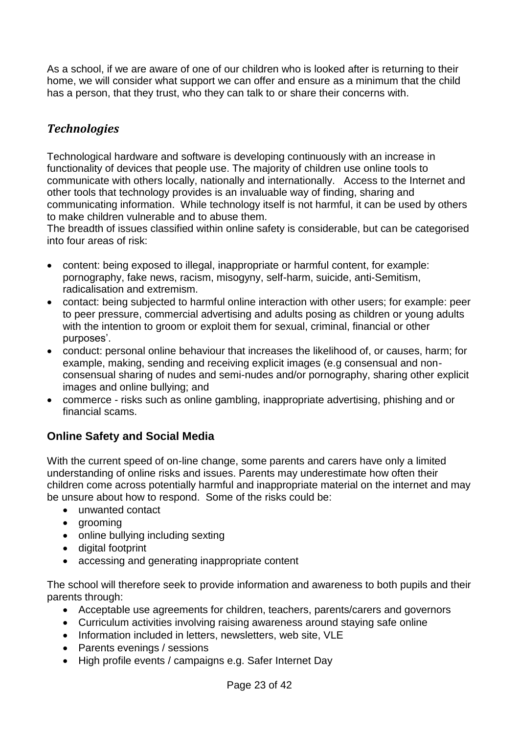As a school, if we are aware of one of our children who is looked after is returning to their home, we will consider what support we can offer and ensure as a minimum that the child has a person, that they trust, who they can talk to or share their concerns with.

# <span id="page-22-0"></span>*Technologies*

Technological hardware and software is developing continuously with an increase in functionality of devices that people use. The majority of children use online tools to communicate with others locally, nationally and internationally. Access to the Internet and other tools that technology provides is an invaluable way of finding, sharing and communicating information. While technology itself is not harmful, it can be used by others to make children vulnerable and to abuse them.

The breadth of issues classified within online safety is considerable, but can be categorised into four areas of risk:

- content: being exposed to illegal, inappropriate or harmful content, for example: pornography, fake news, racism, misogyny, self-harm, suicide, anti-Semitism, radicalisation and extremism.
- contact: being subjected to harmful online interaction with other users; for example: peer to peer pressure, commercial advertising and adults posing as children or young adults with the intention to groom or exploit them for sexual, criminal, financial or other purposes'.
- conduct: personal online behaviour that increases the likelihood of, or causes, harm; for example, making, sending and receiving explicit images (e.g consensual and nonconsensual sharing of nudes and semi-nudes and/or pornography, sharing other explicit images and online bullying; and
- commerce risks such as online gambling, inappropriate advertising, phishing and or financial scams.

# <span id="page-22-1"></span>**Online Safety and Social Media**

With the current speed of on-line change, some parents and carers have only a limited understanding of online risks and issues. Parents may underestimate how often their children come across potentially harmful and inappropriate material on the internet and may be unsure about how to respond. Some of the risks could be:

- unwanted contact
- grooming
- online bullying including sexting
- digital footprint
- accessing and generating inappropriate content

The school will therefore seek to provide information and awareness to both pupils and their parents through:

- Acceptable use agreements for children, teachers, parents/carers and governors
- Curriculum activities involving raising awareness around staying safe online
- Information included in letters, newsletters, web site, VLE
- Parents evenings / sessions
- High profile events / campaigns e.g. Safer Internet Day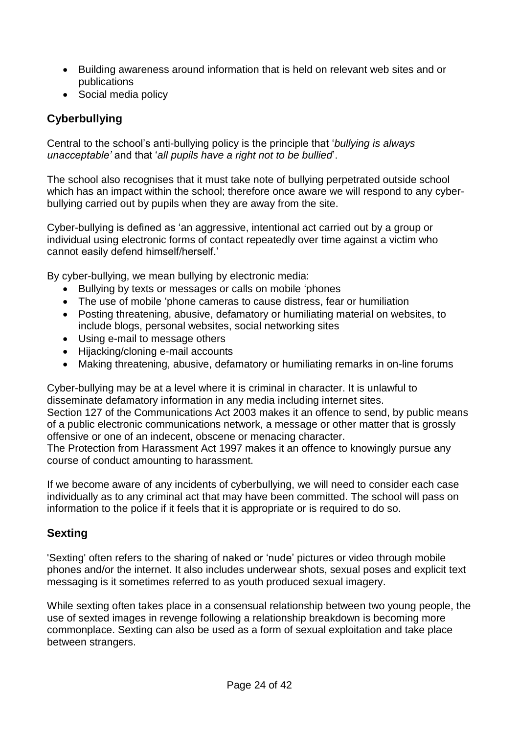- Building awareness around information that is held on relevant web sites and or publications
- Social media policy

# <span id="page-23-0"></span>**Cyberbullying**

Central to the school's anti-bullying policy is the principle that '*bullying is always unacceptable'* and that '*all pupils have a right not to be bullied*'.

The school also recognises that it must take note of bullying perpetrated outside school which has an impact within the school; therefore once aware we will respond to any cyberbullying carried out by pupils when they are away from the site.

Cyber-bullying is defined as 'an aggressive, intentional act carried out by a group or individual using electronic forms of contact repeatedly over time against a victim who cannot easily defend himself/herself.'

By cyber-bullying, we mean bullying by electronic media:

- Bullying by texts or messages or calls on mobile 'phones
- The use of mobile 'phone cameras to cause distress, fear or humiliation
- Posting threatening, abusive, defamatory or humiliating material on websites, to include blogs, personal websites, social networking sites
- Using e-mail to message others
- Hijacking/cloning e-mail accounts
- Making threatening, abusive, defamatory or humiliating remarks in on-line forums

Cyber-bullying may be at a level where it is criminal in character. It is unlawful to disseminate defamatory information in any media including internet sites. Section 127 of the Communications Act 2003 makes it an offence to send, by public means of a public electronic communications network, a message or other matter that is grossly offensive or one of an indecent, obscene or menacing character.

The Protection from Harassment Act 1997 makes it an offence to knowingly pursue any course of conduct amounting to harassment.

If we become aware of any incidents of cyberbullying, we will need to consider each case individually as to any criminal act that may have been committed. The school will pass on information to the police if it feels that it is appropriate or is required to do so.

# <span id="page-23-1"></span>**Sexting**

'Sexting' often refers to the sharing of naked or 'nude' pictures or video through mobile phones and/or the internet. It also includes underwear shots, sexual poses and explicit text messaging is it sometimes referred to as youth produced sexual imagery.

While sexting often takes place in a consensual relationship between two young people, the use of sexted images in revenge following a relationship breakdown is becoming more commonplace. Sexting can also be used as a form of sexual exploitation and take place between strangers.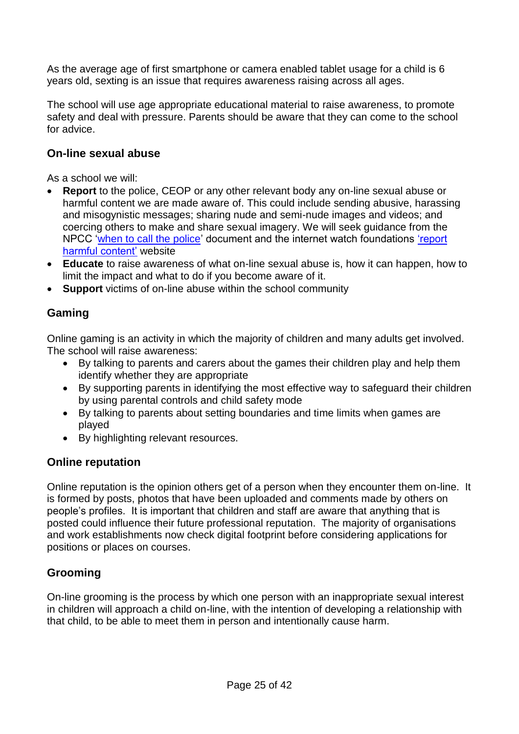As the average age of first smartphone or camera enabled tablet usage for a child is 6 years old, sexting is an issue that requires awareness raising across all ages.

The school will use age appropriate educational material to raise awareness, to promote safety and deal with pressure. Parents should be aware that they can come to the school for advice.

### <span id="page-24-0"></span>**On-line sexual abuse**

As a school we will:

- **Report** to the police, CEOP or any other relevant body any on-line sexual abuse or harmful content we are made aware of. This could include sending abusive, harassing and misogynistic messages; sharing nude and semi-nude images and videos; and coercing others to make and share sexual imagery. We will seek guidance from the NPCC ['when to call the police'](https://www.npcc.police.uk/documents/Children%20and%20Young%20people/When%20to%20call%20the%20police%20guidance%20for%20schools%20and%20colleges.pdf) document and the internet watch foundations ['report](https://reportharmfulcontent.com/?lang=en)  [harmful content'](https://reportharmfulcontent.com/?lang=en) website
- **Educate** to raise awareness of what on-line sexual abuse is, how it can happen, how to limit the impact and what to do if you become aware of it.
- **Support** victims of on-line abuse within the school community

# <span id="page-24-1"></span>**Gaming**

Online gaming is an activity in which the majority of children and many adults get involved. The school will raise awareness:

- By talking to parents and carers about the games their children play and help them identify whether they are appropriate
- By supporting parents in identifying the most effective way to safeguard their children by using parental controls and child safety mode
- By talking to parents about setting boundaries and time limits when games are played
- By highlighting relevant resources.

### <span id="page-24-2"></span>**Online reputation**

Online reputation is the opinion others get of a person when they encounter them on-line. It is formed by posts, photos that have been uploaded and comments made by others on people's profiles. It is important that children and staff are aware that anything that is posted could influence their future professional reputation. The majority of organisations and work establishments now check digital footprint before considering applications for positions or places on courses.

# <span id="page-24-3"></span>**Grooming**

On-line grooming is the process by which one person with an inappropriate sexual interest in children will approach a child on-line, with the intention of developing a relationship with that child, to be able to meet them in person and intentionally cause harm.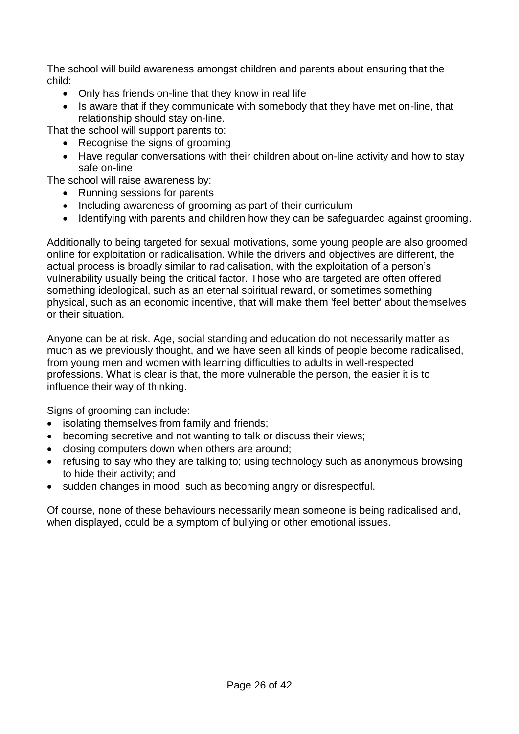The school will build awareness amongst children and parents about ensuring that the child:

- Only has friends on-line that they know in real life
- Is aware that if they communicate with somebody that they have met on-line, that relationship should stay on-line.

That the school will support parents to:

- Recognise the signs of grooming
- Have regular conversations with their children about on-line activity and how to stay safe on-line

The school will raise awareness by:

- Running sessions for parents
- Including awareness of grooming as part of their curriculum
- Identifying with parents and children how they can be safeguarded against grooming.

Additionally to being targeted for sexual motivations, some young people are also groomed online for exploitation or radicalisation. While the drivers and objectives are different, the actual process is broadly similar to radicalisation, with the exploitation of a person's vulnerability usually being the critical factor. Those who are targeted are often offered something ideological, such as an eternal spiritual reward, or sometimes something physical, such as an economic incentive, that will make them 'feel better' about themselves or their situation.

Anyone can be at risk. Age, social standing and education do not necessarily matter as much as we previously thought, and we have seen all kinds of people become radicalised, from young men and women with learning difficulties to adults in well-respected professions. What is clear is that, the more vulnerable the person, the easier it is to influence their way of thinking.

Signs of grooming can include:

- isolating themselves from family and friends;
- becoming secretive and not wanting to talk or discuss their views;
- closing computers down when others are around;
- refusing to say who they are talking to; using technology such as anonymous browsing to hide their activity; and
- sudden changes in mood, such as becoming angry or disrespectful.

Of course, none of these behaviours necessarily mean someone is being radicalised and, when displayed, could be a symptom of bullying or other emotional issues.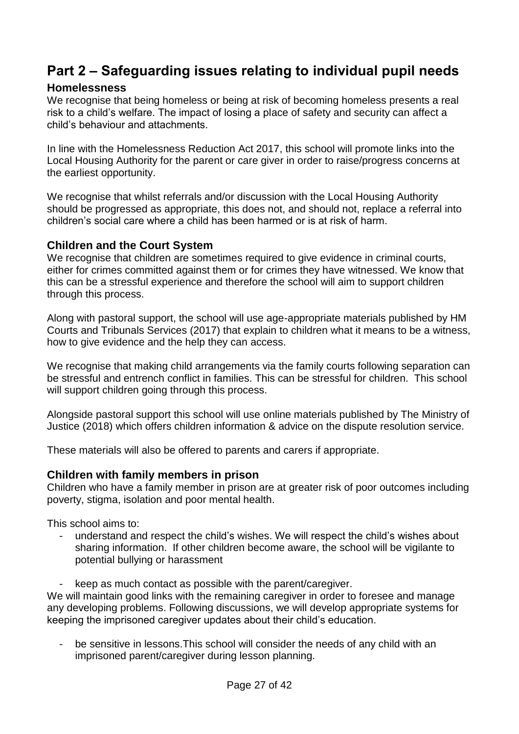# <span id="page-26-0"></span>**Part 2 – Safeguarding issues relating to individual pupil needs**

### <span id="page-26-1"></span>**Homelessness**

We recognise that being homeless or being at risk of becoming homeless presents a real risk to a child's welfare. The impact of losing a place of safety and security can affect a child's behaviour and attachments.

In line with the Homelessness Reduction Act 2017, this school will promote links into the Local Housing Authority for the parent or care giver in order to raise/progress concerns at the earliest opportunity.

We recognise that whilst referrals and/or discussion with the Local Housing Authority should be progressed as appropriate, this does not, and should not, replace a referral into children's social care where a child has been harmed or is at risk of harm.

### <span id="page-26-2"></span>**Children and the Court System**

We recognise that children are sometimes required to give evidence in criminal courts, either for crimes committed against them or for crimes they have witnessed. We know that this can be a stressful experience and therefore the school will aim to support children through this process.

Along with pastoral support, the school will use age-appropriate materials published by HM Courts and Tribunals Services (2017) that explain to children what it means to be a witness, how to give evidence and the help they can access.

We recognise that making child arrangements via the family courts following separation can be stressful and entrench conflict in families. This can be stressful for children. This school will support children going through this process.

Alongside pastoral support this school will use online materials published by The Ministry of Justice (2018) which offers children information & advice on the dispute resolution service.

These materials will also be offered to parents and carers if appropriate.

### <span id="page-26-3"></span>**Children with family members in prison**

Children who have a family member in prison are at greater risk of poor outcomes including poverty, stigma, isolation and poor mental health.

This school aims to:

- understand and respect the child's wishes. We will respect the child's wishes about sharing information. If other children become aware, the school will be vigilante to potential bullying or harassment
- keep as much contact as possible with the parent/caregiver.

We will maintain good links with the remaining caregiver in order to foresee and manage any developing problems. Following discussions, we will develop appropriate systems for keeping the imprisoned caregiver updates about their child's education.

be sensitive in lessons. This school will consider the needs of any child with an imprisoned parent/caregiver during lesson planning.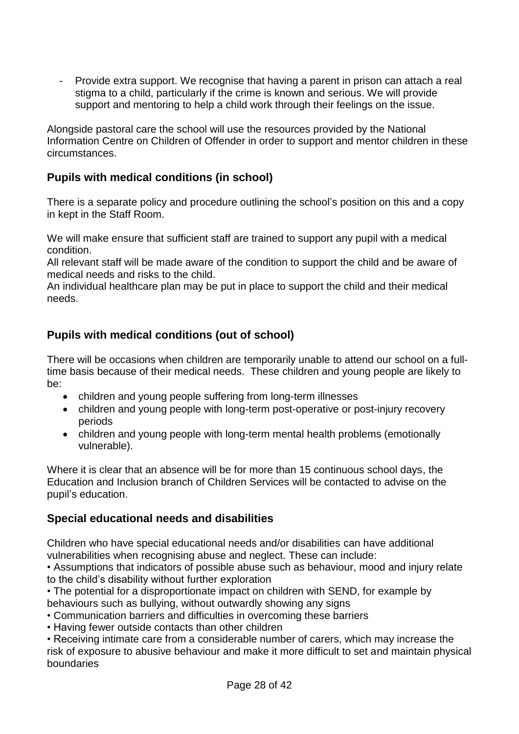- Provide extra support. We recognise that having a parent in prison can attach a real stigma to a child, particularly if the crime is known and serious. We will provide support and mentoring to help a child work through their feelings on the issue.

Alongside pastoral care the school will use the resources provided by the National Information Centre on Children of Offender in order to support and mentor children in these circumstances.

### <span id="page-27-0"></span>**Pupils with medical conditions (in school)**

There is a separate policy and procedure outlining the school's position on this and a copy in kept in the Staff Room.

We will make ensure that sufficient staff are trained to support any pupil with a medical condition.

All relevant staff will be made aware of the condition to support the child and be aware of medical needs and risks to the child.

An individual healthcare plan may be put in place to support the child and their medical needs.

# <span id="page-27-1"></span>**Pupils with medical conditions (out of school)**

There will be occasions when children are temporarily unable to attend our school on a fulltime basis because of their medical needs. These children and young people are likely to be:

- children and young people suffering from long-term illnesses
- children and young people with long-term post-operative or post-injury recovery periods
- children and young people with long-term mental health problems (emotionally vulnerable).

Where it is clear that an absence will be for more than 15 continuous school days, the Education and Inclusion branch of Children Services will be contacted to advise on the pupil's education.

### <span id="page-27-2"></span>**Special educational needs and disabilities**

Children who have special educational needs and/or disabilities can have additional vulnerabilities when recognising abuse and neglect. These can include:

• Assumptions that indicators of possible abuse such as behaviour, mood and injury relate to the child's disability without further exploration

• The potential for a disproportionate impact on children with SEND, for example by behaviours such as bullying, without outwardly showing any signs

- Communication barriers and difficulties in overcoming these barriers
- Having fewer outside contacts than other children

• Receiving intimate care from a considerable number of carers, which may increase the risk of exposure to abusive behaviour and make it more difficult to set and maintain physical boundaries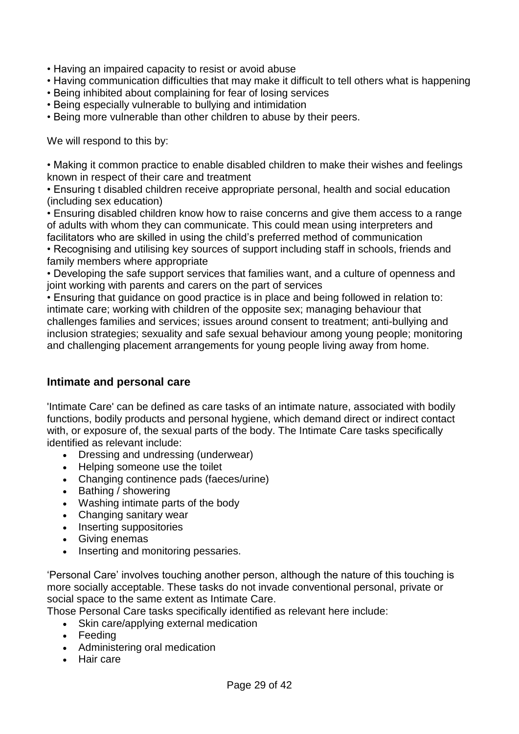- Having an impaired capacity to resist or avoid abuse
- Having communication difficulties that may make it difficult to tell others what is happening
- Being inhibited about complaining for fear of losing services
- Being especially vulnerable to bullying and intimidation
- Being more vulnerable than other children to abuse by their peers.

We will respond to this by:

• Making it common practice to enable disabled children to make their wishes and feelings known in respect of their care and treatment

• Ensuring t disabled children receive appropriate personal, health and social education (including sex education)

• Ensuring disabled children know how to raise concerns and give them access to a range of adults with whom they can communicate. This could mean using interpreters and facilitators who are skilled in using the child's preferred method of communication

• Recognising and utilising key sources of support including staff in schools, friends and family members where appropriate

• Developing the safe support services that families want, and a culture of openness and joint working with parents and carers on the part of services

• Ensuring that guidance on good practice is in place and being followed in relation to: intimate care; working with children of the opposite sex; managing behaviour that challenges families and services; issues around consent to treatment; anti-bullying and inclusion strategies; sexuality and safe sexual behaviour among young people; monitoring and challenging placement arrangements for young people living away from home.

### <span id="page-28-0"></span>**Intimate and personal care**

'Intimate Care' can be defined as care tasks of an intimate nature, associated with bodily functions, bodily products and personal hygiene, which demand direct or indirect contact with, or exposure of, the sexual parts of the body. The Intimate Care tasks specifically identified as relevant include:

- Dressing and undressing (underwear)
- Helping someone use the toilet
- Changing continence pads (faeces/urine)
- Bathing / showering
- Washing intimate parts of the body
- Changing sanitary wear
- Inserting suppositories
- Giving enemas
- Inserting and monitoring pessaries.

'Personal Care' involves touching another person, although the nature of this touching is more socially acceptable. These tasks do not invade conventional personal, private or social space to the same extent as Intimate Care.

Those Personal Care tasks specifically identified as relevant here include:

- Skin care/applying external medication
- Feeding
- Administering oral medication
- Hair care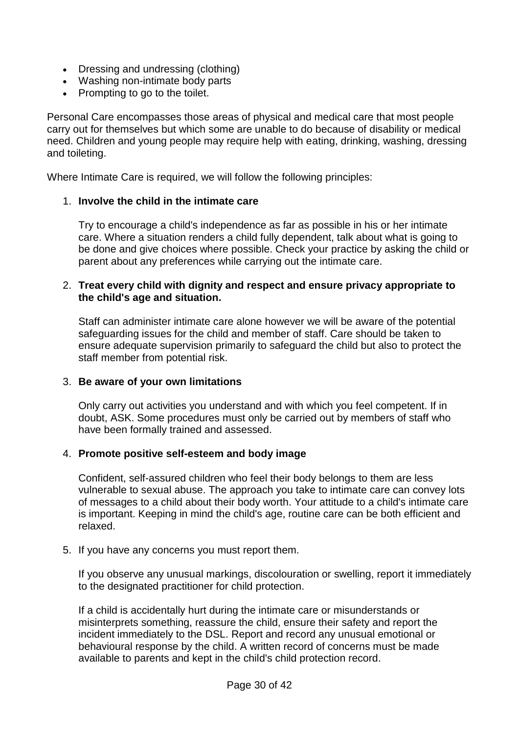- Dressing and undressing (clothing)
- Washing non-intimate body parts
- Prompting to go to the toilet.

Personal Care encompasses those areas of physical and medical care that most people carry out for themselves but which some are unable to do because of disability or medical need. Children and young people may require help with eating, drinking, washing, dressing and toileting.

Where Intimate Care is required, we will follow the following principles:

#### 1. **Involve the child in the intimate care**

Try to encourage a child's independence as far as possible in his or her intimate care. Where a situation renders a child fully dependent, talk about what is going to be done and give choices where possible. Check your practice by asking the child or parent about any preferences while carrying out the intimate care.

#### 2. **Treat every child with dignity and respect and ensure privacy appropriate to the child's age and situation.**

Staff can administer intimate care alone however we will be aware of the potential safeguarding issues for the child and member of staff. Care should be taken to ensure adequate supervision primarily to safeguard the child but also to protect the staff member from potential risk.

#### 3. **Be aware of your own limitations**

Only carry out activities you understand and with which you feel competent. If in doubt, ASK. Some procedures must only be carried out by members of staff who have been formally trained and assessed.

#### 4. **Promote positive self-esteem and body image**

Confident, self-assured children who feel their body belongs to them are less vulnerable to sexual abuse. The approach you take to intimate care can convey lots of messages to a child about their body worth. Your attitude to a child's intimate care is important. Keeping in mind the child's age, routine care can be both efficient and relaxed.

5. If you have any concerns you must report them.

If you observe any unusual markings, discolouration or swelling, report it immediately to the designated practitioner for child protection.

If a child is accidentally hurt during the intimate care or misunderstands or misinterprets something, reassure the child, ensure their safety and report the incident immediately to the DSL. Report and record any unusual emotional or behavioural response by the child. A written record of concerns must be made available to parents and kept in the child's child protection record.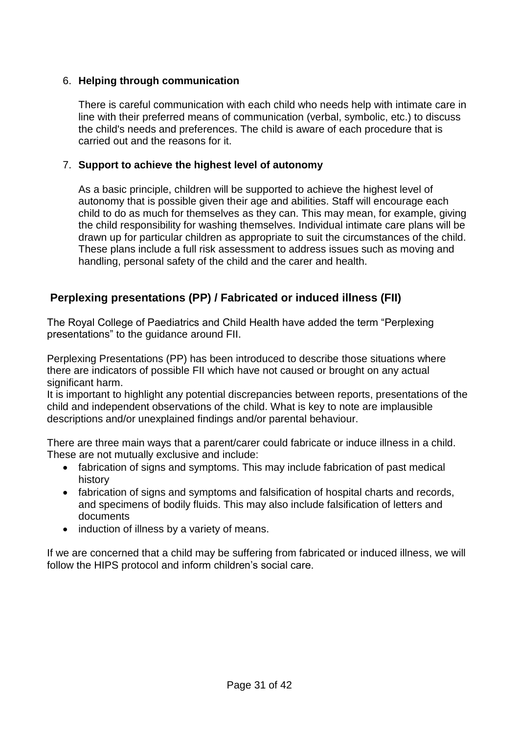### 6. **Helping through communication**

There is careful communication with each child who needs help with intimate care in line with their preferred means of communication (verbal, symbolic, etc.) to discuss the child's needs and preferences. The child is aware of each procedure that is carried out and the reasons for it.

### 7. **Support to achieve the highest level of autonomy**

As a basic principle, children will be supported to achieve the highest level of autonomy that is possible given their age and abilities. Staff will encourage each child to do as much for themselves as they can. This may mean, for example, giving the child responsibility for washing themselves. Individual intimate care plans will be drawn up for particular children as appropriate to suit the circumstances of the child. These plans include a full risk assessment to address issues such as moving and handling, personal safety of the child and the carer and health.

# <span id="page-30-0"></span>**Perplexing presentations (PP) / Fabricated or induced illness (FII)**

The Royal College of Paediatrics and Child Health have added the term "Perplexing presentations" to the guidance around FII.

Perplexing Presentations (PP) has been introduced to describe those situations where there are indicators of possible FII which have not caused or brought on any actual significant harm.

It is important to highlight any potential discrepancies between reports, presentations of the child and independent observations of the child. What is key to note are implausible descriptions and/or unexplained findings and/or parental behaviour.

There are three main ways that a parent/carer could fabricate or induce illness in a child. These are not mutually exclusive and include:

- fabrication of signs and symptoms. This may include fabrication of past medical history
- fabrication of signs and symptoms and falsification of hospital charts and records, and specimens of bodily fluids. This may also include falsification of letters and documents
- induction of illness by a variety of means.

If we are concerned that a child may be suffering from fabricated or induced illness, we will follow the HIPS protocol and inform children's social care.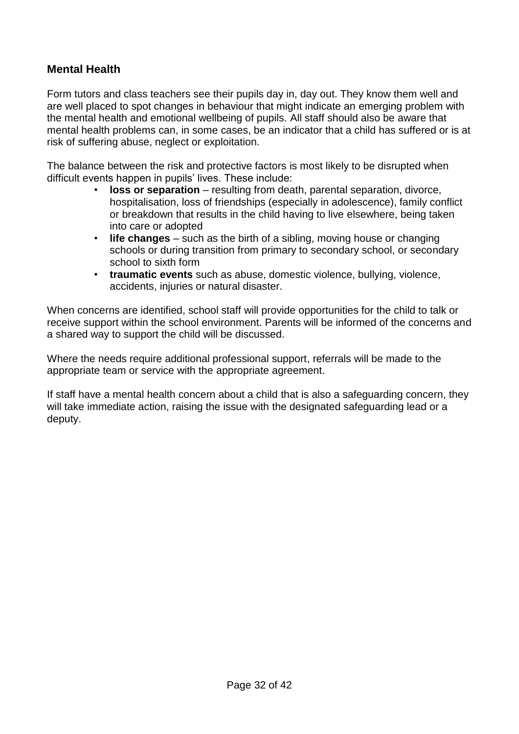# <span id="page-31-0"></span>**Mental Health**

Form tutors and class teachers see their pupils day in, day out. They know them well and are well placed to spot changes in behaviour that might indicate an emerging problem with the mental health and emotional wellbeing of pupils. All staff should also be aware that mental health problems can, in some cases, be an indicator that a child has suffered or is at risk of suffering abuse, neglect or exploitation.

The balance between the risk and protective factors is most likely to be disrupted when difficult events happen in pupils' lives. These include:

- **loss or separation** resulting from death, parental separation, divorce, hospitalisation, loss of friendships (especially in adolescence), family conflict or breakdown that results in the child having to live elsewhere, being taken into care or adopted
- **life changes**  such as the birth of a sibling, moving house or changing schools or during transition from primary to secondary school, or secondary school to sixth form
- **traumatic events** such as abuse, domestic violence, bullying, violence, accidents, injuries or natural disaster.

When concerns are identified, school staff will provide opportunities for the child to talk or receive support within the school environment. Parents will be informed of the concerns and a shared way to support the child will be discussed.

Where the needs require additional professional support, referrals will be made to the appropriate team or service with the appropriate agreement.

If staff have a mental health concern about a child that is also a safeguarding concern, they will take immediate action, raising the issue with the designated safeguarding lead or a deputy.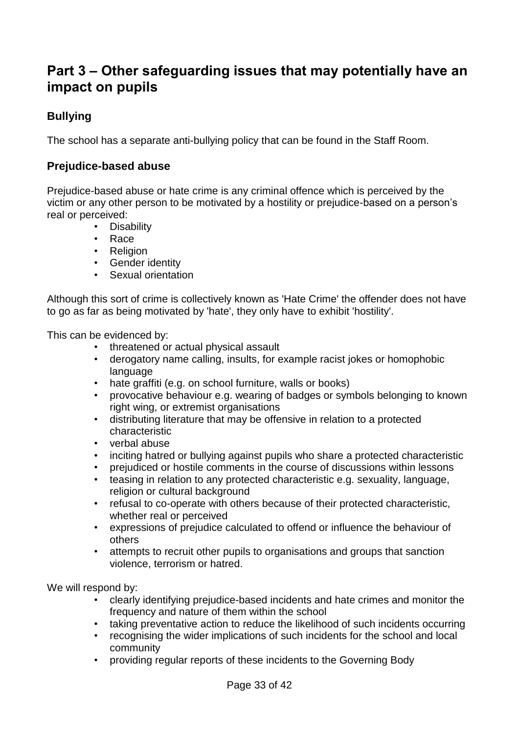# <span id="page-32-0"></span>**Part 3 – Other safeguarding issues that may potentially have an impact on pupils**

# <span id="page-32-1"></span>**Bullying**

The school has a separate anti-bullying policy that can be found in the Staff Room.

# <span id="page-32-2"></span>**Prejudice-based abuse**

Prejudice-based abuse or hate crime is any criminal offence which is perceived by the victim or any other person to be motivated by a hostility or prejudice-based on a person's real or perceived:

- Disability
- Race
- Religion
- Gender identity
- Sexual orientation

Although this sort of crime is collectively known as 'Hate Crime' the offender does not have to go as far as being motivated by 'hate', they only have to exhibit 'hostility'.

This can be evidenced by:

- 
- threatened or actual physical assault<br>• derogatory name calling. insults, for e • derogatory name calling, insults, for example racist jokes or homophobic language
- hate graffiti (e.g. on school furniture, walls or books)
- provocative behaviour e.g. wearing of badges or symbols belonging to known right wing, or extremist organisations
- distributing literature that may be offensive in relation to a protected characteristic
- verbal abuse
- inciting hatred or bullying against pupils who share a protected characteristic
- prejudiced or hostile comments in the course of discussions within lessons
- teasing in relation to any protected characteristic e.g. sexuality, language, religion or cultural background
- refusal to co-operate with others because of their protected characteristic, whether real or perceived
- expressions of prejudice calculated to offend or influence the behaviour of others
- attempts to recruit other pupils to organisations and groups that sanction violence, terrorism or hatred.

We will respond by:

- clearly identifying prejudice-based incidents and hate crimes and monitor the frequency and nature of them within the school
- taking preventative action to reduce the likelihood of such incidents occurring
- recognising the wider implications of such incidents for the school and local community
- providing regular reports of these incidents to the Governing Body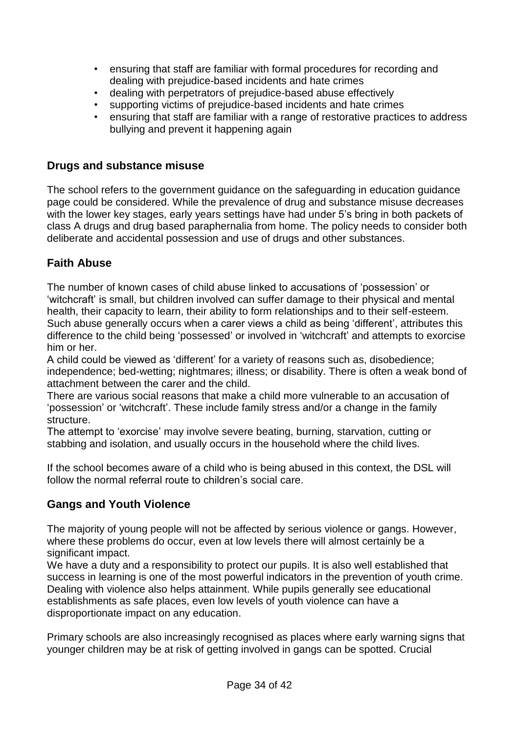- ensuring that staff are familiar with formal procedures for recording and dealing with prejudice-based incidents and hate crimes
- dealing with perpetrators of prejudice-based abuse effectively
- supporting victims of prejudice-based incidents and hate crimes
- ensuring that staff are familiar with a range of restorative practices to address bullying and prevent it happening again

### <span id="page-33-0"></span>**Drugs and substance misuse**

The school refers to the government guidance on the safeguarding in education guidance page could be considered. While the prevalence of drug and substance misuse decreases with the lower key stages, early years settings have had under 5's bring in both packets of class A drugs and drug based paraphernalia from home. The policy needs to consider both deliberate and accidental possession and use of drugs and other substances.

### <span id="page-33-1"></span>**Faith Abuse**

The number of known cases of child abuse linked to accusations of 'possession' or 'witchcraft' is small, but children involved can suffer damage to their physical and mental health, their capacity to learn, their ability to form relationships and to their self-esteem. Such abuse generally occurs when a carer views a child as being 'different', attributes this difference to the child being 'possessed' or involved in 'witchcraft' and attempts to exorcise him or her.

A child could be viewed as 'different' for a variety of reasons such as, disobedience; independence; bed-wetting; nightmares; illness; or disability. There is often a weak bond of attachment between the carer and the child.

There are various social reasons that make a child more vulnerable to an accusation of 'possession' or 'witchcraft'. These include family stress and/or a change in the family structure.

The attempt to 'exorcise' may involve severe beating, burning, starvation, cutting or stabbing and isolation, and usually occurs in the household where the child lives.

If the school becomes aware of a child who is being abused in this context, the DSL will follow the normal referral route to children's social care.

### <span id="page-33-2"></span>**Gangs and Youth Violence**

The majority of young people will not be affected by serious violence or gangs. However, where these problems do occur, even at low levels there will almost certainly be a significant impact.

We have a duty and a responsibility to protect our pupils. It is also well established that success in learning is one of the most powerful indicators in the prevention of youth crime. Dealing with violence also helps attainment. While pupils generally see educational establishments as safe places, even low levels of youth violence can have a disproportionate impact on any education.

Primary schools are also increasingly recognised as places where early warning signs that younger children may be at risk of getting involved in gangs can be spotted. Crucial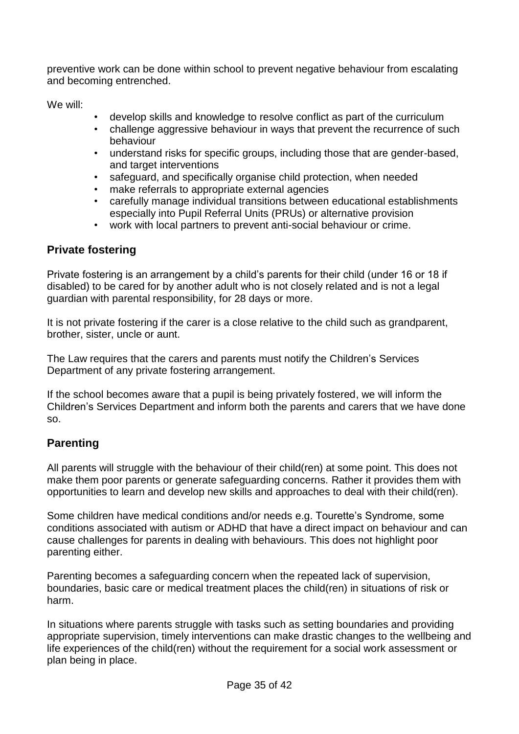preventive work can be done within school to prevent negative behaviour from escalating and becoming entrenched.

We will:

- develop skills and knowledge to resolve conflict as part of the curriculum
- challenge aggressive behaviour in ways that prevent the recurrence of such behaviour
- understand risks for specific groups, including those that are gender-based, and target interventions
- safeguard, and specifically organise child protection, when needed
- make referrals to appropriate external agencies
- carefully manage individual transitions between educational establishments especially into Pupil Referral Units (PRUs) or alternative provision
- work with local partners to prevent anti-social behaviour or crime.

### <span id="page-34-0"></span>**Private fostering**

Private fostering is an arrangement by a child's parents for their child (under 16 or 18 if disabled) to be cared for by another adult who is not closely related and is not a legal guardian with parental responsibility, for 28 days or more.

It is not private fostering if the carer is a close relative to the child such as grandparent, brother, sister, uncle or aunt.

The Law requires that the carers and parents must notify the Children's Services Department of any private fostering arrangement.

If the school becomes aware that a pupil is being privately fostered, we will inform the Children's Services Department and inform both the parents and carers that we have done so.

# <span id="page-34-1"></span>**Parenting**

All parents will struggle with the behaviour of their child(ren) at some point. This does not make them poor parents or generate safeguarding concerns. Rather it provides them with opportunities to learn and develop new skills and approaches to deal with their child(ren).

Some children have medical conditions and/or needs e.g. Tourette's Syndrome, some conditions associated with autism or ADHD that have a direct impact on behaviour and can cause challenges for parents in dealing with behaviours. This does not highlight poor parenting either.

Parenting becomes a safeguarding concern when the repeated lack of supervision, boundaries, basic care or medical treatment places the child(ren) in situations of risk or harm.

In situations where parents struggle with tasks such as setting boundaries and providing appropriate supervision, timely interventions can make drastic changes to the wellbeing and life experiences of the child(ren) without the requirement for a social work assessment or plan being in place.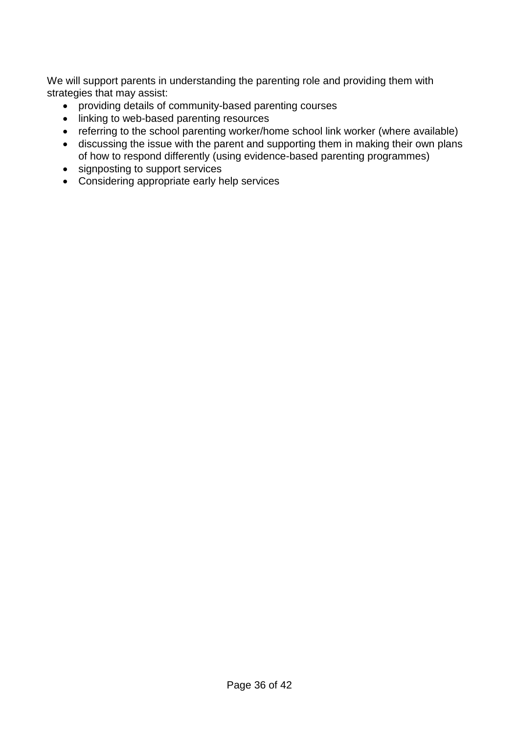We will support parents in understanding the parenting role and providing them with strategies that may assist:

- providing details of community-based parenting courses
- linking to web-based parenting resources
- referring to the school parenting worker/home school link worker (where available)
- discussing the issue with the parent and supporting them in making their own plans of how to respond differently (using evidence-based parenting programmes)
- signposting to support services
- Considering appropriate early help services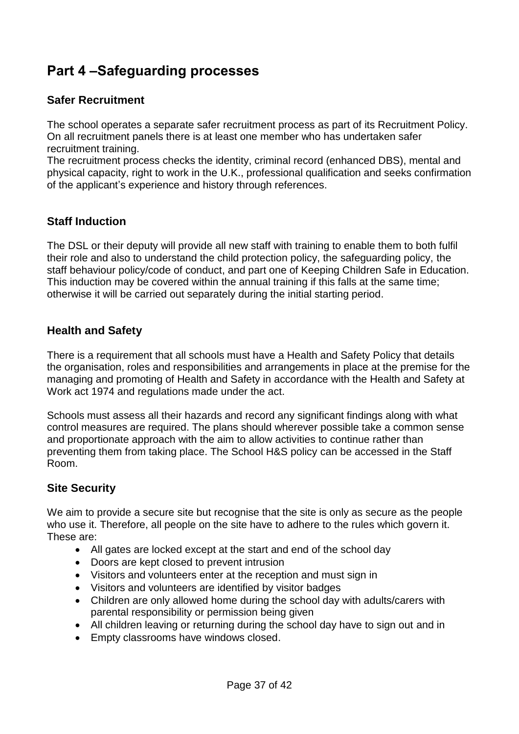# <span id="page-36-0"></span>**Part 4 –Safeguarding processes**

### <span id="page-36-1"></span>**Safer Recruitment**

The school operates a separate safer recruitment process as part of its Recruitment Policy. On all recruitment panels there is at least one member who has undertaken safer recruitment training.

The recruitment process checks the identity, criminal record (enhanced DBS), mental and physical capacity, right to work in the U.K., professional qualification and seeks confirmation of the applicant's experience and history through references.

### <span id="page-36-2"></span>**Staff Induction**

The DSL or their deputy will provide all new staff with training to enable them to both fulfil their role and also to understand the child protection policy, the safeguarding policy, the staff behaviour policy/code of conduct, and part one of Keeping Children Safe in Education. This induction may be covered within the annual training if this falls at the same time; otherwise it will be carried out separately during the initial starting period.

### <span id="page-36-3"></span>**Health and Safety**

There is a requirement that all schools must have a Health and Safety Policy that details the organisation, roles and responsibilities and arrangements in place at the premise for the managing and promoting of Health and Safety in accordance with the Health and Safety at Work act 1974 and regulations made under the act.

Schools must assess all their hazards and record any significant findings along with what control measures are required. The plans should wherever possible take a common sense and proportionate approach with the aim to allow activities to continue rather than preventing them from taking place. The School H&S policy can be accessed in the Staff Room.

### <span id="page-36-4"></span>**Site Security**

We aim to provide a secure site but recognise that the site is only as secure as the people who use it. Therefore, all people on the site have to adhere to the rules which govern it. These are:

- All gates are locked except at the start and end of the school day
- Doors are kept closed to prevent intrusion
- Visitors and volunteers enter at the reception and must sign in
- Visitors and volunteers are identified by visitor badges
- Children are only allowed home during the school day with adults/carers with parental responsibility or permission being given
- All children leaving or returning during the school day have to sign out and in
- **Empty classrooms have windows closed.**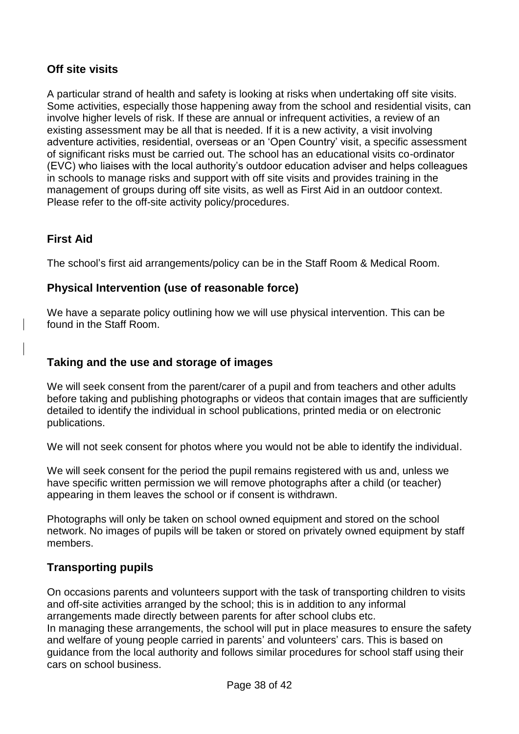# <span id="page-37-0"></span>**Off site visits**

A particular strand of health and safety is looking at risks when undertaking off site visits. Some activities, especially those happening away from the school and residential visits, can involve higher levels of risk. If these are annual or infrequent activities, a review of an existing assessment may be all that is needed. If it is a new activity, a visit involving adventure activities, residential, overseas or an 'Open Country' visit, a specific assessment of significant risks must be carried out. The school has an educational visits co-ordinator (EVC) who liaises with the local authority's outdoor education adviser and helps colleagues in schools to manage risks and support with off site visits and provides training in the management of groups during off site visits, as well as First Aid in an outdoor context. Please refer to the off-site activity policy/procedures.

# <span id="page-37-1"></span>**First Aid**

The school's first aid arrangements/policy can be in the Staff Room & Medical Room.

# <span id="page-37-2"></span>**Physical Intervention (use of reasonable force)**

We have a separate policy outlining how we will use physical intervention. This can be found in the Staff Room.

# <span id="page-37-3"></span>**Taking and the use and storage of images**

We will seek consent from the parent/carer of a pupil and from teachers and other adults before taking and publishing photographs or videos that contain images that are sufficiently detailed to identify the individual in school publications, printed media or on electronic publications.

We will not seek consent for photos where you would not be able to identify the individual.

We will seek consent for the period the pupil remains registered with us and, unless we have specific written permission we will remove photographs after a child (or teacher) appearing in them leaves the school or if consent is withdrawn.

Photographs will only be taken on school owned equipment and stored on the school network. No images of pupils will be taken or stored on privately owned equipment by staff members.

# <span id="page-37-4"></span>**Transporting pupils**

On occasions parents and volunteers support with the task of transporting children to visits and off-site activities arranged by the school; this is in addition to any informal arrangements made directly between parents for after school clubs etc.

In managing these arrangements, the school will put in place measures to ensure the safety and welfare of young people carried in parents' and volunteers' cars. This is based on guidance from the local authority and follows similar procedures for school staff using their cars on school business.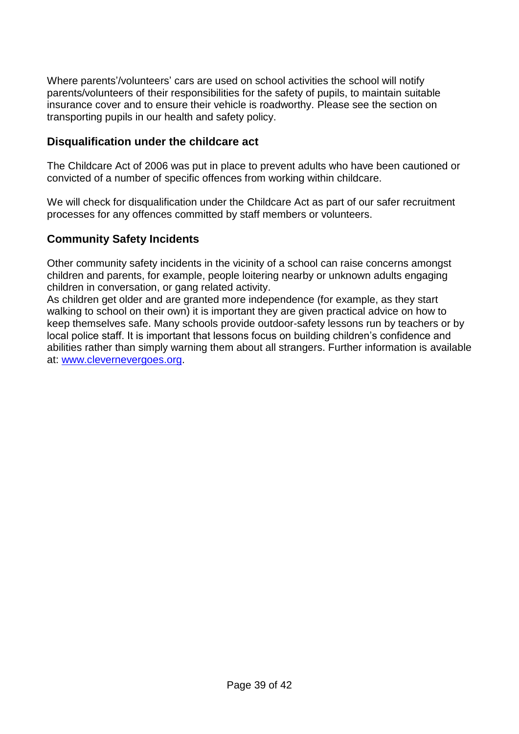Where parents'/volunteers' cars are used on school activities the school will notify parents/volunteers of their responsibilities for the safety of pupils, to maintain suitable insurance cover and to ensure their vehicle is roadworthy. Please see the section on transporting pupils in our health and safety policy.

### <span id="page-38-0"></span>**Disqualification under the childcare act**

The Childcare Act of 2006 was put in place to prevent adults who have been cautioned or convicted of a number of specific offences from working within childcare.

We will check for disqualification under the Childcare Act as part of our safer recruitment processes for any offences committed by staff members or volunteers.

### <span id="page-38-1"></span>**Community Safety Incidents**

Other community safety incidents in the vicinity of a school can raise concerns amongst children and parents, for example, people loitering nearby or unknown adults engaging children in conversation, or gang related activity.

As children get older and are granted more independence (for example, as they start walking to school on their own) it is important they are given practical advice on how to keep themselves safe. Many schools provide outdoor-safety lessons run by teachers or by local police staff. It is important that lessons focus on building children's confidence and abilities rather than simply warning them about all strangers. Further information is available at: [www.clevernevergoes.org.](http://www.clevernevergoes.org/)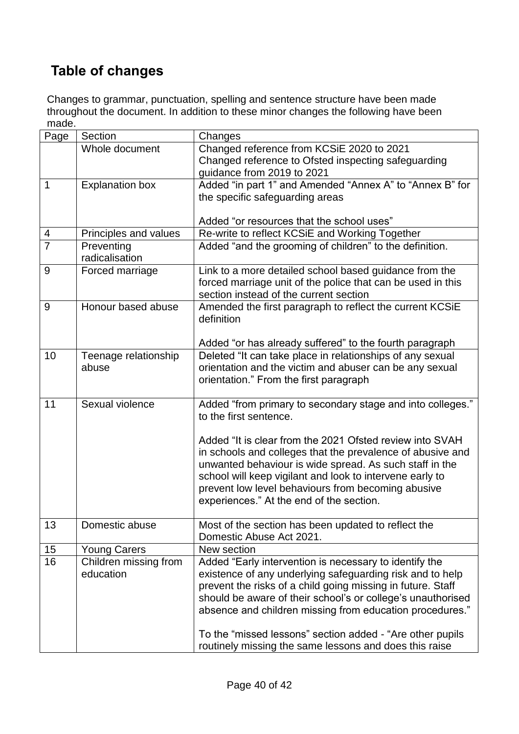# <span id="page-39-0"></span>**Table of changes**

Changes to grammar, punctuation, spelling and sentence structure have been made throughout the document. In addition to these minor changes the following have been made.

| Page           | Section                            | Changes                                                                         |
|----------------|------------------------------------|---------------------------------------------------------------------------------|
|                | Whole document                     | Changed reference from KCSiE 2020 to 2021                                       |
|                |                                    | Changed reference to Ofsted inspecting safeguarding                             |
|                |                                    | guidance from 2019 to 2021                                                      |
| 1              | <b>Explanation box</b>             | Added "in part 1" and Amended "Annex A" to "Annex B" for                        |
|                |                                    | the specific safeguarding areas                                                 |
|                |                                    |                                                                                 |
|                |                                    | Added "or resources that the school uses"                                       |
| 4              | Principles and values              | Re-write to reflect KCSiE and Working Together                                  |
| $\overline{7}$ | Preventing                         | Added "and the grooming of children" to the definition.                         |
|                | radicalisation                     |                                                                                 |
| 9              | Forced marriage                    | Link to a more detailed school based guidance from the                          |
|                |                                    | forced marriage unit of the police that can be used in this                     |
|                |                                    | section instead of the current section                                          |
| 9              | Honour based abuse                 | Amended the first paragraph to reflect the current KCSiE                        |
|                |                                    | definition                                                                      |
|                |                                    |                                                                                 |
|                |                                    | Added "or has already suffered" to the fourth paragraph                         |
| 10             | Teenage relationship               | Deleted "It can take place in relationships of any sexual                       |
|                | abuse                              | orientation and the victim and abuser can be any sexual                         |
|                |                                    | orientation." From the first paragraph                                          |
|                |                                    |                                                                                 |
| 11             | Sexual violence                    | Added "from primary to secondary stage and into colleges."                      |
|                |                                    | to the first sentence.                                                          |
|                |                                    |                                                                                 |
|                |                                    | Added "It is clear from the 2021 Ofsted review into SVAH                        |
|                |                                    | in schools and colleges that the prevalence of abusive and                      |
|                |                                    | unwanted behaviour is wide spread. As such staff in the                         |
|                |                                    | school will keep vigilant and look to intervene early to                        |
|                |                                    | prevent low level behaviours from becoming abusive                              |
|                |                                    | experiences." At the end of the section.                                        |
|                |                                    |                                                                                 |
| 13             | Domestic abuse                     | Most of the section has been updated to reflect the<br>Domestic Abuse Act 2021. |
|                |                                    | New section                                                                     |
| 15<br>16       | <b>Young Carers</b>                |                                                                                 |
|                | Children missing from<br>education | Added "Early intervention is necessary to identify the                          |
|                |                                    | existence of any underlying safeguarding risk and to help                       |
|                |                                    | prevent the risks of a child going missing in future. Staff                     |
|                |                                    | should be aware of their school's or college's unauthorised                     |
|                |                                    | absence and children missing from education procedures."                        |
|                |                                    | To the "missed lessons" section added - "Are other pupils                       |
|                |                                    | routinely missing the same lessons and does this raise                          |
|                |                                    |                                                                                 |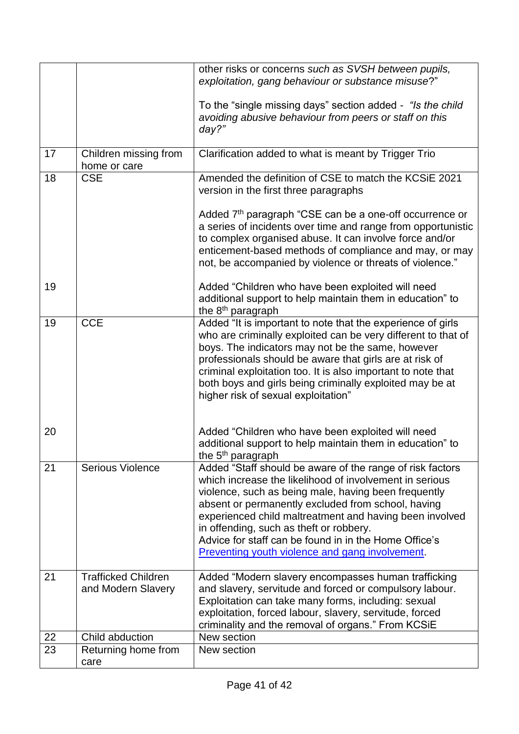|    |                                                  | other risks or concerns such as SVSH between pupils,<br>exploitation, gang behaviour or substance misuse?"                                                                                                                                                                                                                                                                                                                                                  |
|----|--------------------------------------------------|-------------------------------------------------------------------------------------------------------------------------------------------------------------------------------------------------------------------------------------------------------------------------------------------------------------------------------------------------------------------------------------------------------------------------------------------------------------|
|    |                                                  |                                                                                                                                                                                                                                                                                                                                                                                                                                                             |
|    |                                                  | To the "single missing days" section added - "Is the child"<br>avoiding abusive behaviour from peers or staff on this<br>day?"                                                                                                                                                                                                                                                                                                                              |
| 17 | Children missing from<br>home or care            | Clarification added to what is meant by Trigger Trio                                                                                                                                                                                                                                                                                                                                                                                                        |
| 18 | <b>CSE</b>                                       | Amended the definition of CSE to match the KCSIE 2021<br>version in the first three paragraphs                                                                                                                                                                                                                                                                                                                                                              |
|    |                                                  | Added 7 <sup>th</sup> paragraph "CSE can be a one-off occurrence or<br>a series of incidents over time and range from opportunistic<br>to complex organised abuse. It can involve force and/or<br>enticement-based methods of compliance and may, or may<br>not, be accompanied by violence or threats of violence."                                                                                                                                        |
| 19 |                                                  | Added "Children who have been exploited will need<br>additional support to help maintain them in education" to<br>the 8 <sup>th</sup> paragraph                                                                                                                                                                                                                                                                                                             |
| 19 | <b>CCE</b>                                       | Added "It is important to note that the experience of girls<br>who are criminally exploited can be very different to that of<br>boys. The indicators may not be the same, however<br>professionals should be aware that girls are at risk of<br>criminal exploitation too. It is also important to note that<br>both boys and girls being criminally exploited may be at<br>higher risk of sexual exploitation"                                             |
| 20 |                                                  | Added "Children who have been exploited will need<br>additional support to help maintain them in education" to<br>the 5 <sup>th</sup> paragraph                                                                                                                                                                                                                                                                                                             |
| 21 | <b>Serious Violence</b>                          | Added "Staff should be aware of the range of risk factors<br>which increase the likelihood of involvement in serious<br>violence, such as being male, having been frequently<br>absent or permanently excluded from school, having<br>experienced child maltreatment and having been involved<br>in offending, such as theft or robbery.<br>Advice for staff can be found in in the Home Office's<br><b>Preventing youth violence and gang involvement.</b> |
| 21 | <b>Trafficked Children</b><br>and Modern Slavery | Added "Modern slavery encompasses human trafficking<br>and slavery, servitude and forced or compulsory labour.<br>Exploitation can take many forms, including: sexual<br>exploitation, forced labour, slavery, servitude, forced<br>criminality and the removal of organs." From KCSiE                                                                                                                                                                      |
| 22 | Child abduction                                  | New section                                                                                                                                                                                                                                                                                                                                                                                                                                                 |
| 23 | Returning home from<br>care                      | New section                                                                                                                                                                                                                                                                                                                                                                                                                                                 |